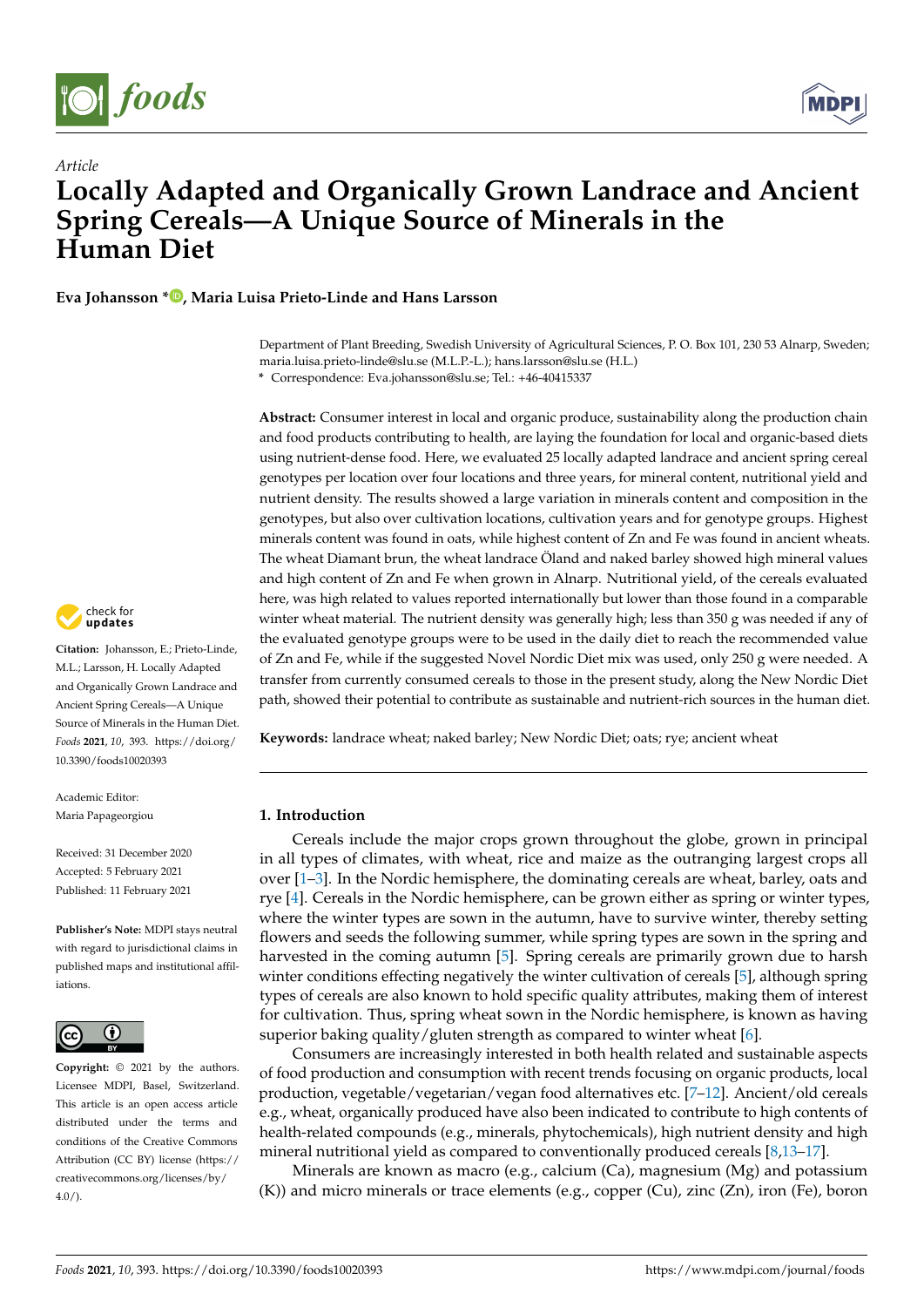

*Article*



# **Locally Adapted and Organically Grown Landrace and Ancient Spring Cereals—A Unique Source of Minerals in the Human Diet**

# **Eva Johansson [\\*](https://orcid.org/0000-0003-2351-5173) , Maria Luisa Prieto-Linde and Hans Larsson**

Department of Plant Breeding, Swedish University of Agricultural Sciences, P. O. Box 101, 230 53 Alnarp, Sweden; maria.luisa.prieto-linde@slu.se (M.L.P.-L.); hans.larsson@slu.se (H.L.)

**\*** Correspondence: Eva.johansson@slu.se; Tel.: +46-40415337

**Abstract:** Consumer interest in local and organic produce, sustainability along the production chain and food products contributing to health, are laying the foundation for local and organic-based diets using nutrient-dense food. Here, we evaluated 25 locally adapted landrace and ancient spring cereal genotypes per location over four locations and three years, for mineral content, nutritional yield and nutrient density. The results showed a large variation in minerals content and composition in the genotypes, but also over cultivation locations, cultivation years and for genotype groups. Highest minerals content was found in oats, while highest content of Zn and Fe was found in ancient wheats. The wheat Diamant brun, the wheat landrace Öland and naked barley showed high mineral values and high content of Zn and Fe when grown in Alnarp. Nutritional yield, of the cereals evaluated here, was high related to values reported internationally but lower than those found in a comparable winter wheat material. The nutrient density was generally high; less than 350 g was needed if any of the evaluated genotype groups were to be used in the daily diet to reach the recommended value of Zn and Fe, while if the suggested Novel Nordic Diet mix was used, only 250 g were needed. A transfer from currently consumed cereals to those in the present study, along the New Nordic Diet path, showed their potential to contribute as sustainable and nutrient-rich sources in the human diet.

**Keywords:** landrace wheat; naked barley; New Nordic Diet; oats; rye; ancient wheat

## **1. Introduction**

Cereals include the major crops grown throughout the globe, grown in principal in all types of climates, with wheat, rice and maize as the outranging largest crops all over [\[1](#page-14-0)[–3\]](#page-14-1). In the Nordic hemisphere, the dominating cereals are wheat, barley, oats and rye [\[4\]](#page-14-2). Cereals in the Nordic hemisphere, can be grown either as spring or winter types, where the winter types are sown in the autumn, have to survive winter, thereby setting flowers and seeds the following summer, while spring types are sown in the spring and harvested in the coming autumn [\[5\]](#page-14-3). Spring cereals are primarily grown due to harsh winter conditions effecting negatively the winter cultivation of cereals [\[5\]](#page-14-3), although spring types of cereals are also known to hold specific quality attributes, making them of interest for cultivation. Thus, spring wheat sown in the Nordic hemisphere, is known as having superior baking quality/gluten strength as compared to winter wheat [\[6\]](#page-14-4).

Consumers are increasingly interested in both health related and sustainable aspects of food production and consumption with recent trends focusing on organic products, local production, vegetable/vegetarian/vegan food alternatives etc. [\[7](#page-14-5)[–12\]](#page-14-6). Ancient/old cereals e.g., wheat, organically produced have also been indicated to contribute to high contents of health-related compounds (e.g., minerals, phytochemicals), high nutrient density and high mineral nutritional yield as compared to conventionally produced cereals [\[8](#page-14-7)[,13–](#page-14-8)[17\]](#page-14-9).

Minerals are known as macro (e.g., calcium (Ca), magnesium (Mg) and potassium  $(K)$ ) and micro minerals or trace elements (e.g., copper  $(Cu)$ , zinc  $(Zn)$ , iron (Fe), boron



**Citation:** Johansson, E.; Prieto-Linde, M.L.; Larsson, H. Locally Adapted and Organically Grown Landrace and Ancient Spring Cereals—A Unique Source of Minerals in the Human Diet. *Foods* **2021**, *10*, 393. [https://doi.org/](https://doi.org/10.3390/foods10020393) [10.3390/foods10020393](https://doi.org/10.3390/foods10020393)

Academic Editor: Maria Papageorgiou

Received: 31 December 2020 Accepted: 5 February 2021 Published: 11 February 2021

**Publisher's Note:** MDPI stays neutral with regard to jurisdictional claims in published maps and institutional affiliations.



**Copyright:** © 2021 by the authors. Licensee MDPI, Basel, Switzerland. This article is an open access article distributed under the terms and conditions of the Creative Commons Attribution (CC BY) license (https:/[/](https://creativecommons.org/licenses/by/4.0/) [creativecommons.org/licenses/by/](https://creativecommons.org/licenses/by/4.0/)  $4.0/$ ).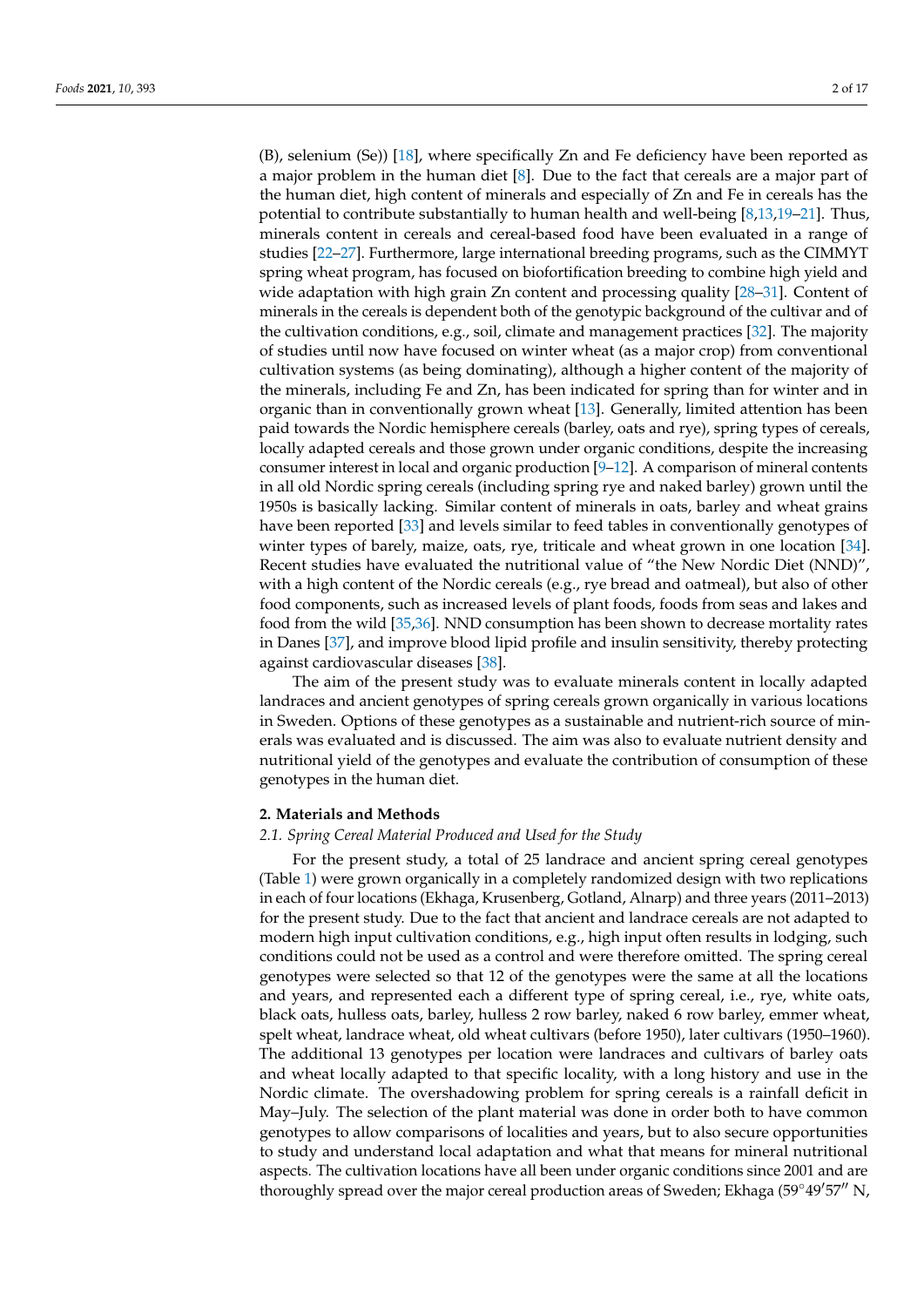(B), selenium (Se)) [\[18\]](#page-15-0), where specifically Zn and Fe deficiency have been reported as a major problem in the human diet [\[8\]](#page-14-7). Due to the fact that cereals are a major part of the human diet, high content of minerals and especially of Zn and Fe in cereals has the potential to contribute substantially to human health and well-being [\[8](#page-14-7)[,13](#page-14-8)[,19–](#page-15-1)[21\]](#page-15-2). Thus, minerals content in cereals and cereal-based food have been evaluated in a range of studies [\[22](#page-15-3)[–27\]](#page-15-4). Furthermore, large international breeding programs, such as the CIMMYT spring wheat program, has focused on biofortification breeding to combine high yield and wide adaptation with high grain Zn content and processing quality [\[28–](#page-15-5)[31\]](#page-15-6). Content of minerals in the cereals is dependent both of the genotypic background of the cultivar and of the cultivation conditions, e.g., soil, climate and management practices [\[32\]](#page-15-7). The majority of studies until now have focused on winter wheat (as a major crop) from conventional cultivation systems (as being dominating), although a higher content of the majority of the minerals, including Fe and Zn, has been indicated for spring than for winter and in organic than in conventionally grown wheat [\[13\]](#page-14-8). Generally, limited attention has been paid towards the Nordic hemisphere cereals (barley, oats and rye), spring types of cereals, locally adapted cereals and those grown under organic conditions, despite the increasing consumer interest in local and organic production  $[9-12]$  $[9-12]$ . A comparison of mineral contents in all old Nordic spring cereals (including spring rye and naked barley) grown until the 1950s is basically lacking. Similar content of minerals in oats, barley and wheat grains have been reported [\[33\]](#page-15-8) and levels similar to feed tables in conventionally genotypes of winter types of barely, maize, oats, rye, triticale and wheat grown in one location [\[34\]](#page-15-9). Recent studies have evaluated the nutritional value of "the New Nordic Diet (NND)", with a high content of the Nordic cereals (e.g., rye bread and oatmeal), but also of other food components, such as increased levels of plant foods, foods from seas and lakes and food from the wild [\[35,](#page-15-10)[36\]](#page-15-11). NND consumption has been shown to decrease mortality rates in Danes [\[37\]](#page-15-12), and improve blood lipid profile and insulin sensitivity, thereby protecting against cardiovascular diseases [\[38\]](#page-15-13).

The aim of the present study was to evaluate minerals content in locally adapted landraces and ancient genotypes of spring cereals grown organically in various locations in Sweden. Options of these genotypes as a sustainable and nutrient-rich source of minerals was evaluated and is discussed. The aim was also to evaluate nutrient density and nutritional yield of the genotypes and evaluate the contribution of consumption of these genotypes in the human diet.

#### **2. Materials and Methods**

#### *2.1. Spring Cereal Material Produced and Used for the Study*

For the present study, a total of 25 landrace and ancient spring cereal genotypes (Table [1\)](#page-3-0) were grown organically in a completely randomized design with two replications in each of four locations (Ekhaga, Krusenberg, Gotland, Alnarp) and three years (2011–2013) for the present study. Due to the fact that ancient and landrace cereals are not adapted to modern high input cultivation conditions, e.g., high input often results in lodging, such conditions could not be used as a control and were therefore omitted. The spring cereal genotypes were selected so that 12 of the genotypes were the same at all the locations and years, and represented each a different type of spring cereal, i.e., rye, white oats, black oats, hulless oats, barley, hulless 2 row barley, naked 6 row barley, emmer wheat, spelt wheat, landrace wheat, old wheat cultivars (before 1950), later cultivars (1950–1960). The additional 13 genotypes per location were landraces and cultivars of barley oats and wheat locally adapted to that specific locality, with a long history and use in the Nordic climate. The overshadowing problem for spring cereals is a rainfall deficit in May–July. The selection of the plant material was done in order both to have common genotypes to allow comparisons of localities and years, but to also secure opportunities to study and understand local adaptation and what that means for mineral nutritional aspects. The cultivation locations have all been under organic conditions since 2001 and are thoroughly spread over the major cereal production areas of Sweden; Ekhaga ( $59°49'57''$  N,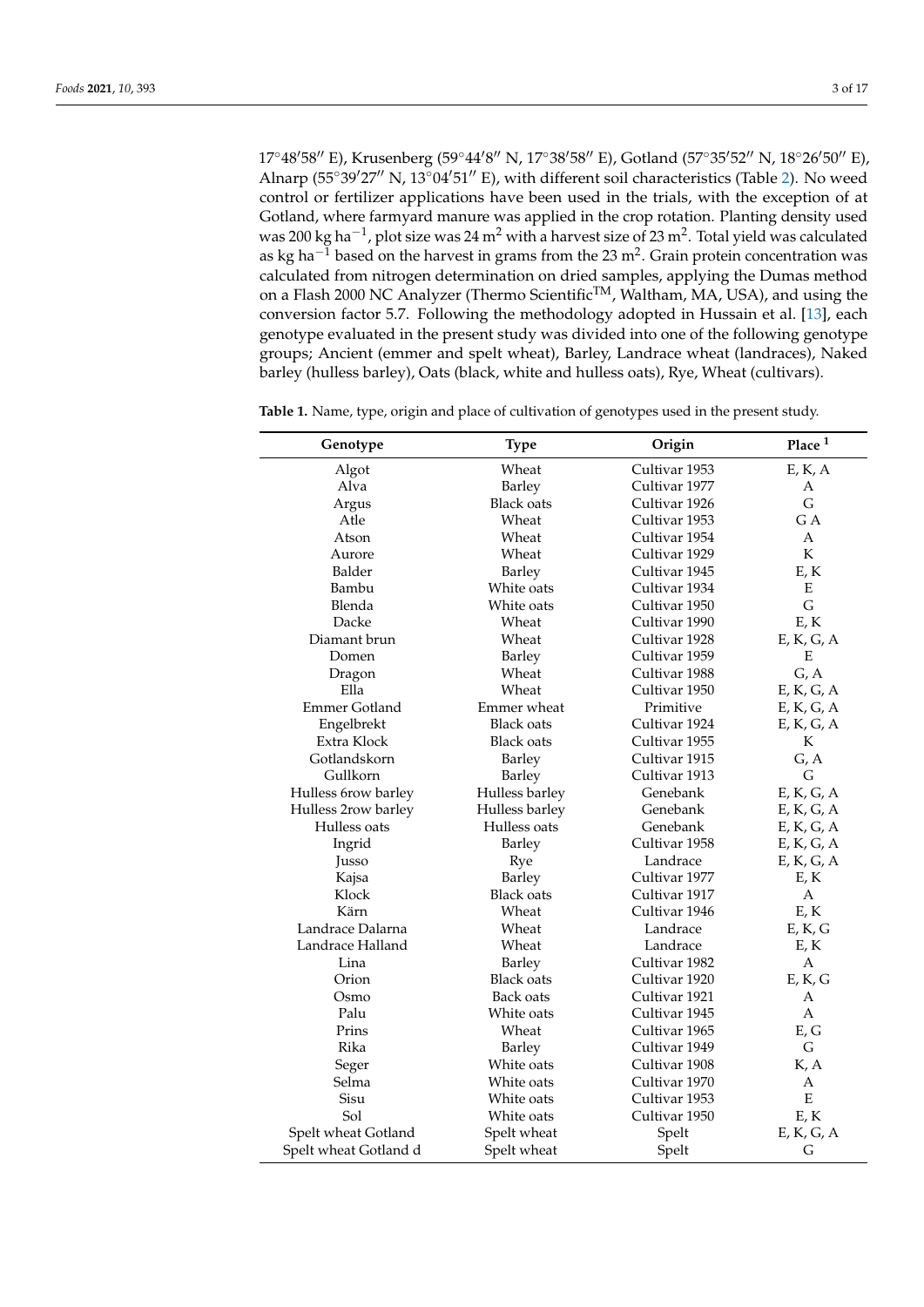17°48'58" E), Krusenberg (59°44'8" N, 17°38'58" E), Gotland (57°35'52" N, 18°26'50" E), Alnarp ( $55°39'27''$  N,  $13°04'51''$  E), with different soil characteristics (Table [2\)](#page-3-1). No weed control or fertilizer applications have been used in the trials, with the exception of at Gotland, where farmyard manure was applied in the crop rotation. Planting density used was 200 kg ha $^{-1}$ , plot size was 24 m $^2$  with a harvest size of 23 m $^2$ . Total yield was calculated as kg ha $^{-1}$  based on the harvest in grams from the 23 m<sup>2</sup>. Grain protein concentration was calculated from nitrogen determination on dried samples, applying the Dumas method on a Flash 2000 NC Analyzer (Thermo Scientific<sup>TM</sup>, Waltham, MA, USA), and using the conversion factor 5.7. Following the methodology adopted in Hussain et al. [\[13\]](#page-14-8), each genotype evaluated in the present study was divided into one of the following genotype groups; Ancient (emmer and spelt wheat), Barley, Landrace wheat (landraces), Naked barley (hulless barley), Oats (black, white and hulless oats), Rye, Wheat (cultivars).

| Genotype              | <b>Type</b>       | Origin        | Place $^{\rm 1}$                      |
|-----------------------|-------------------|---------------|---------------------------------------|
| Algot                 | Wheat             | Cultivar 1953 | $\mathcal{E},\mathcal{K},\mathcal{A}$ |
| Alva                  | Barley            | Cultivar 1977 | А                                     |
| Argus                 | <b>Black oats</b> | Cultivar 1926 | G                                     |
| Atle                  | Wheat             | Cultivar 1953 | G A                                   |
| Atson                 | Wheat             | Cultivar 1954 | A                                     |
| Aurore                | Wheat             | Cultivar 1929 | K                                     |
| Balder                | Barley            | Cultivar 1945 | E, K                                  |
| Bambu                 | White oats        | Cultivar 1934 | E                                     |
| Blenda                | White oats        | Cultivar 1950 | G                                     |
| Dacke                 | Wheat             | Cultivar 1990 | E, K                                  |
| Diamant brun          | Wheat             | Cultivar 1928 | E, K, G, A                            |
| Domen                 | Barley            | Cultivar 1959 | Ε                                     |
| Dragon                | Wheat             | Cultivar 1988 | G, A                                  |
| Ella                  | Wheat             | Cultivar 1950 | E, K, G, A                            |
| <b>Emmer Gotland</b>  | Emmer wheat       | Primitive     | E, K, G, A                            |
| Engelbrekt            | <b>Black oats</b> | Cultivar 1924 | E, K, G, A                            |
| Extra Klock           | Black oats        | Cultivar 1955 | K                                     |
| Gotlandskorn          | Barley            | Cultivar 1915 | G, A                                  |
| Gullkorn              | Barley            | Cultivar 1913 | G                                     |
| Hulless 6row barley   | Hulless barley    | Genebank      | E, K, G, A                            |
| Hulless 2row barley   | Hulless barley    | Genebank      | E, K, G, A                            |
| Hulless oats          | Hulless oats      | Genebank      | E, K, G, A                            |
| Ingrid                | Barley            | Cultivar 1958 | E, K, G, A                            |
| Jusso                 | Rye               | Landrace      | E, K, G, A                            |
| Kajsa                 | Barley            | Cultivar 1977 | E, K                                  |
| Klock                 | <b>Black oats</b> | Cultivar 1917 | $\boldsymbol{A}$                      |
| Kärn                  | Wheat             | Cultivar 1946 | E, K                                  |
| Landrace Dalarna      | Wheat             | Landrace      | E, K, G                               |
| Landrace Halland      | Wheat             | Landrace      | E, K                                  |
| Lina                  | Barley            | Cultivar 1982 | $\boldsymbol{A}$                      |
| Orion                 | <b>Black oats</b> | Cultivar 1920 | E, K, G                               |
| Osmo                  | Back oats         | Cultivar 1921 | A                                     |
| Palu                  | White oats        | Cultivar 1945 | $\mathbf{A}$                          |
| Prins                 | Wheat             | Cultivar 1965 | E, G                                  |
| Rika                  | Barley            | Cultivar 1949 | G                                     |
| Seger                 | White oats        | Cultivar 1908 | K, A                                  |
| Selma                 | White oats        | Cultivar 1970 | $\boldsymbol{A}$                      |
| Sisu                  | White oats        | Cultivar 1953 | ${\bf E}$                             |
| Sol                   | White oats        | Cultivar 1950 | E, K                                  |
| Spelt wheat Gotland   | Spelt wheat       | Spelt         | E, K, G, A                            |
| Spelt wheat Gotland d | Spelt wheat       | Spelt         | G                                     |

**Table 1.** Name, type, origin and place of cultivation of genotypes used in the present study.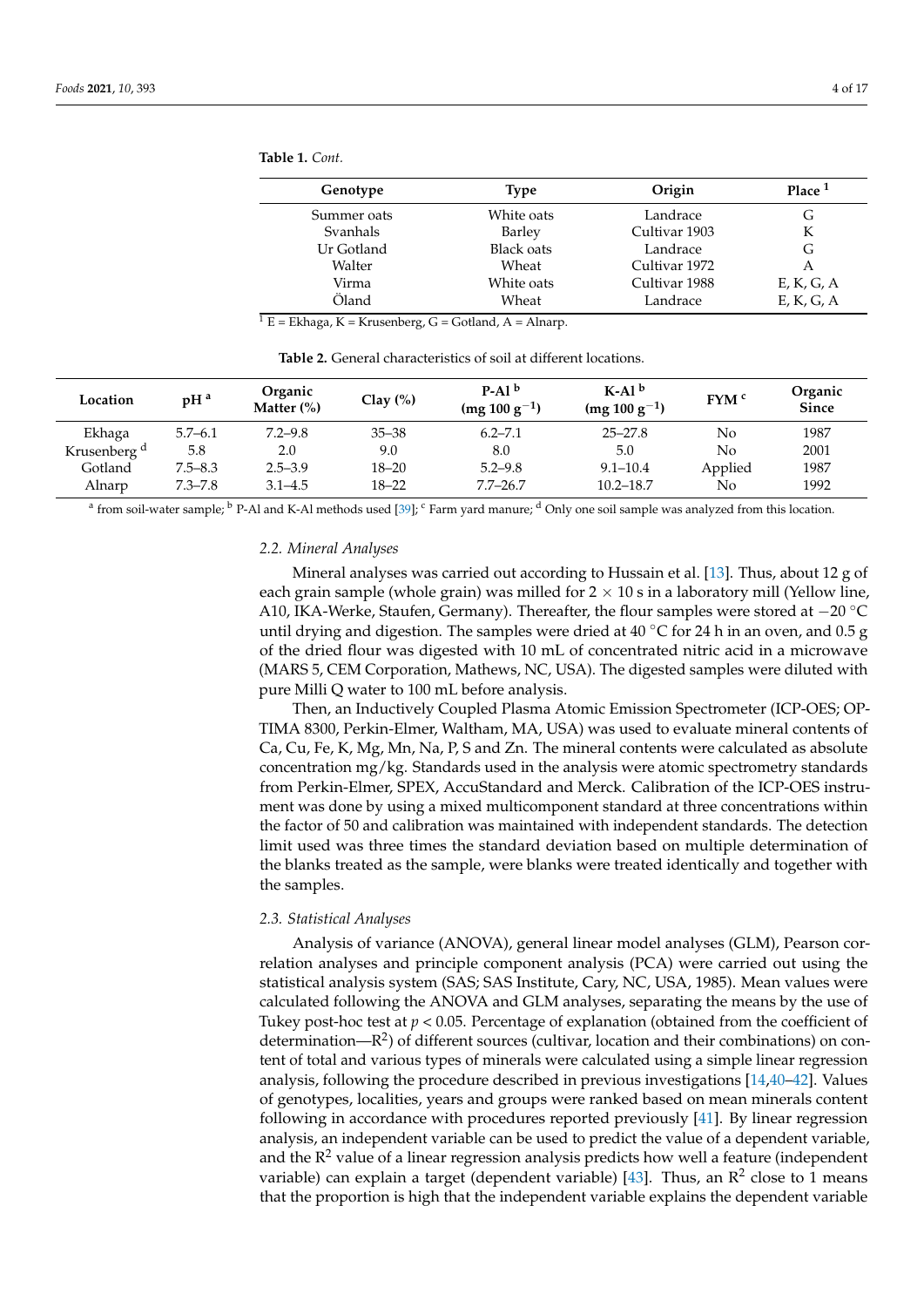<span id="page-3-0"></span>

| Table 1. Cont. |  |
|----------------|--|
|----------------|--|

| Genotype    | Type              | Origin        | Place $1$     |
|-------------|-------------------|---------------|---------------|
| Summer oats | White oats        | Landrace      | G             |
| Svanhals    | Barley            | Cultivar 1903 | K             |
| Ur Gotland  | <b>Black oats</b> | Landrace      | G             |
| Walter      | Wheat             | Cultivar 1972 | А             |
| Virma       | White oats        | Cultivar 1988 | $E$ , K, G, A |
| Öland       | Wheat             | Landrace      | E, K, G, A    |

 $\overline{1 E}$  = Ekhaga, K = Krusenberg, G = Gotland, A = Alnarp.

<span id="page-3-1"></span>

| Location                | pH <sup>a</sup> | Organic<br>Matter $(\%)$ | Clay $(\%)$ | $P-Alb$<br>$(mg 100 g^{-1})$ | $K-Alb$<br>$(mg 100 g^{-1})$ | $fYM$ <sup>c</sup> | Organic<br><b>Since</b> |
|-------------------------|-----------------|--------------------------|-------------|------------------------------|------------------------------|--------------------|-------------------------|
| Ekhaga                  | $5.7 - 6.1$     | $7.2 - 9.8$              | $35 - 38$   | $6.2 - 7.1$                  | $25 - 27.8$                  | No                 | 1987                    |
| Krusenberg <sup>d</sup> | 5.8             | 2.0                      | 9.0         | 8.0                          | 5.0                          | No                 | 2001                    |
| Gotland                 | $7.5 - 8.3$     | $2.5 - 3.9$              | 18–20       | $5.2 - 9.8$                  | $9.1 - 10.4$                 | Applied            | 1987                    |

**Table 2.** General characteristics of soil at different locations.

Alnarp 7.3–7.8 3.1–4.5 18–22 7.7–26.7 10.2–18.7 No 1992  $^{\rm a}$  from soil-water sample;  $^{\rm b}$  P-Al and K-Al methods used [\[39\]](#page-15-14);  $^{\rm c}$  Farm yard manure;  $^{\rm d}$  Only one soil sample was analyzed from this location.

### *2.2. Mineral Analyses*

Mineral analyses was carried out according to Hussain et al. [\[13\]](#page-14-8). Thus, about 12 g of each grain sample (whole grain) was milled for  $2 \times 10$  s in a laboratory mill (Yellow line, A10, IKA-Werke, Staufen, Germany). Thereafter, the flour samples were stored at  $-20^{\circ}$ C until drying and digestion. The samples were dried at 40 °C for 24 h in an oven, and 0.5 g of the dried flour was digested with 10 mL of concentrated nitric acid in a microwave (MARS 5, CEM Corporation, Mathews, NC, USA). The digested samples were diluted with pure Milli Q water to 100 mL before analysis.

Then, an Inductively Coupled Plasma Atomic Emission Spectrometer (ICP-OES; OP-TIMA 8300, Perkin-Elmer, Waltham, MA, USA) was used to evaluate mineral contents of Ca, Cu, Fe, K, Mg, Mn, Na, P, S and Zn. The mineral contents were calculated as absolute concentration mg/kg. Standards used in the analysis were atomic spectrometry standards from Perkin-Elmer, SPEX, AccuStandard and Merck. Calibration of the ICP-OES instrument was done by using a mixed multicomponent standard at three concentrations within the factor of 50 and calibration was maintained with independent standards. The detection limit used was three times the standard deviation based on multiple determination of the blanks treated as the sample, were blanks were treated identically and together with the samples.

#### *2.3. Statistical Analyses*

Analysis of variance (ANOVA), general linear model analyses (GLM), Pearson correlation analyses and principle component analysis (PCA) were carried out using the statistical analysis system (SAS; SAS Institute, Cary, NC, USA, 1985). Mean values were calculated following the ANOVA and GLM analyses, separating the means by the use of Tukey post-hoc test at *p* < 0.05. Percentage of explanation (obtained from the coefficient of determination— $R^2$ ) of different sources (cultivar, location and their combinations) on content of total and various types of minerals were calculated using a simple linear regression analysis, following the procedure described in previous investigations [\[14,](#page-14-11)[40](#page-15-15)[–42\]](#page-15-16). Values of genotypes, localities, years and groups were ranked based on mean minerals content following in accordance with procedures reported previously [\[41\]](#page-15-17). By linear regression analysis, an independent variable can be used to predict the value of a dependent variable, and the  $R^2$  value of a linear regression analysis predicts how well a feature (independent variable) can explain a target (dependent variable) [ $43$ ]. Thus, an  $\mathbb{R}^2$  close to 1 means that the proportion is high that the independent variable explains the dependent variable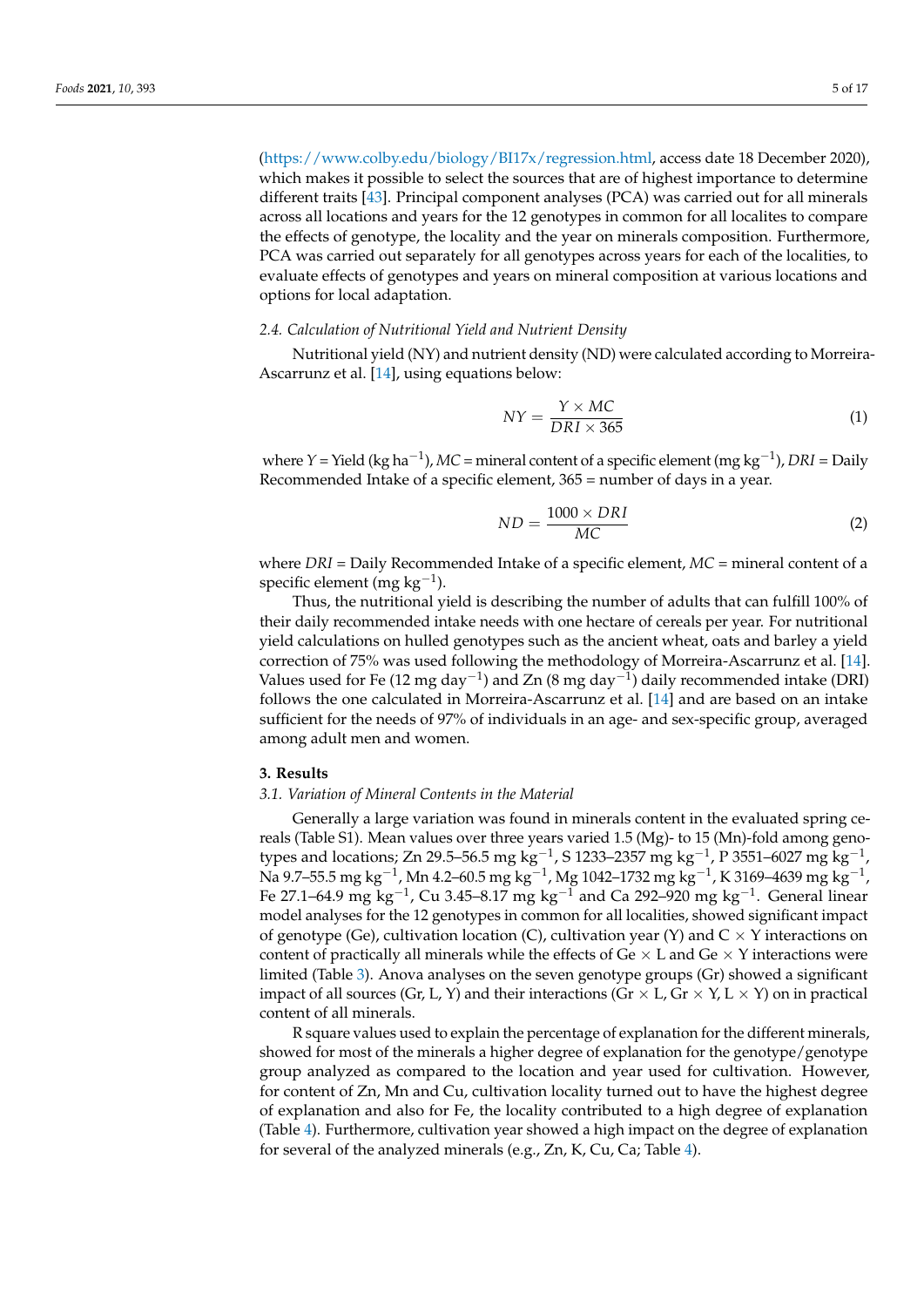[\(https://www.colby.edu/biology/BI17x/regression.html,](https://www.colby.edu/biology/BI17x/regression.html) access date 18 December 2020), which makes it possible to select the sources that are of highest importance to determine different traits [\[43\]](#page-16-0). Principal component analyses (PCA) was carried out for all minerals across all locations and years for the 12 genotypes in common for all localites to compare the effects of genotype, the locality and the year on minerals composition. Furthermore, PCA was carried out separately for all genotypes across years for each of the localities, to evaluate effects of genotypes and years on mineral composition at various locations and options for local adaptation.

### *2.4. Calculation of Nutritional Yield and Nutrient Density*

Nutritional yield (NY) and nutrient density (ND) were calculated according to Morreira-Ascarrunz et al. [\[14\]](#page-14-11), using equations below:

$$
NY = \frac{Y \times MC}{DRI \times 365} \tag{1}
$$

where *Y* = Yield (kg ha−<sup>1</sup> ), *MC* = mineral content of a specific element (mg kg−<sup>1</sup> ), *DRI* = Daily Recommended Intake of a specific element, 365 = number of days in a year.

$$
ND = \frac{1000 \times DRI}{MC}
$$
 (2)

where *DRI* = Daily Recommended Intake of a specific element, *MC* = mineral content of a specific element (mg  $kg^{-1}$ ).

Thus, the nutritional yield is describing the number of adults that can fulfill 100% of their daily recommended intake needs with one hectare of cereals per year. For nutritional yield calculations on hulled genotypes such as the ancient wheat, oats and barley a yield correction of 75% was used following the methodology of Morreira-Ascarrunz et al. [\[14\]](#page-14-11). Values used for Fe (12 mg day<sup>-1</sup>) and Zn (8 mg day<sup>-1</sup>) daily recommended intake (DRI) follows the one calculated in Morreira-Ascarrunz et al. [\[14\]](#page-14-11) and are based on an intake sufficient for the needs of 97% of individuals in an age- and sex-specific group, averaged among adult men and women.

#### **3. Results**

#### *3.1. Variation of Mineral Contents in the Material*

Generally a large variation was found in minerals content in the evaluated spring cereals (Table S1). Mean values over three years varied 1.5 (Mg)- to 15 (Mn)-fold among genotypes and locations; Zn 29.5–56.5 mg kg<sup>-1</sup>, S 1233–2357 mg kg<sup>-1</sup>, P 3551–6027 mg kg<sup>-1</sup>, Na 9.7–55.5 mg kg<sup>-1</sup>, Mn 4.2–60.5 mg kg<sup>-1</sup>, Mg 1042–1732 mg kg<sup>-1</sup>, K 3169–4639 mg kg<sup>-1</sup>, Fe 27.1–64.9 mg kg<sup>-1</sup>, Cu 3.45–8.17 mg kg<sup>-1</sup> and Ca 292–920 mg kg<sup>-1</sup>. General linear model analyses for the 12 genotypes in common for all localities, showed significant impact of genotype (Ge), cultivation location (C), cultivation year (Y) and  $C \times Y$  interactions on content of practically all minerals while the effects of Ge  $\times$  L and Ge  $\times$  Y interactions were limited (Table [3\)](#page-5-0). Anova analyses on the seven genotype groups (Gr) showed a significant impact of all sources (Gr, L, Y) and their interactions (Gr  $\times$  L, Gr  $\times$  Y, L  $\times$  Y) on in practical content of all minerals.

R square values used to explain the percentage of explanation for the different minerals, showed for most of the minerals a higher degree of explanation for the genotype/genotype group analyzed as compared to the location and year used for cultivation. However, for content of Zn, Mn and Cu, cultivation locality turned out to have the highest degree of explanation and also for Fe, the locality contributed to a high degree of explanation (Table [4\)](#page-5-1). Furthermore, cultivation year showed a high impact on the degree of explanation for several of the analyzed minerals (e.g., Zn, K, Cu, Ca; Table [4\)](#page-5-1).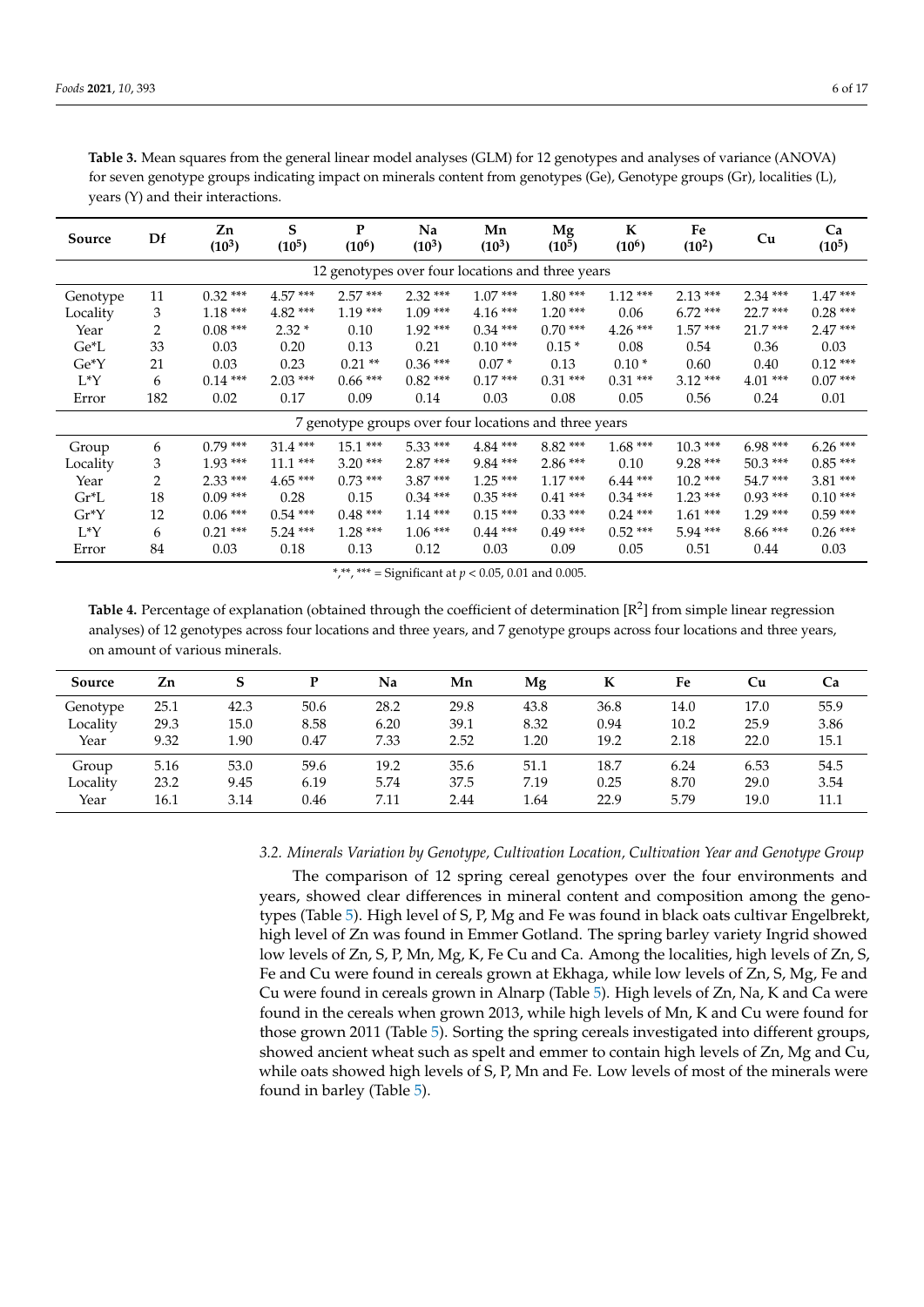| Source                                           | Df  | Zn<br>$(10^3)$ | S<br>$(10^5)$ | P<br>$(10^6)$ | Na<br>$(10^3)$ | Mn<br>$(10^3)$                                        | Mg<br>$(10^5)$ | K<br>$(10^6)$ | Fe<br>$(10^2)$ | Cu        | Ca<br>$(10^5)$ |
|--------------------------------------------------|-----|----------------|---------------|---------------|----------------|-------------------------------------------------------|----------------|---------------|----------------|-----------|----------------|
| 12 genotypes over four locations and three years |     |                |               |               |                |                                                       |                |               |                |           |                |
| Genotype                                         | 11  | $0.32***$      | $4.57***$     | $2.57***$     | $2.32***$      | $1.07***$                                             | $1.80***$      | $1.12***$     | $2.13***$      | $2.34***$ | $1.47***$      |
| Locality                                         | 3   | $1.18***$      | $4.82***$     | $1.19***$     | $1.09***$      | $4.16***$                                             | $1.20***$      | 0.06          | $6.72***$      | $22.7***$ | $0.28***$      |
| Year                                             | 2   | $0.08***$      | $2.32*$       | 0.10          | $1.92***$      | $0.34***$                                             | $0.70***$      | $4.26***$     | $1.57***$      | $21.7***$ | $2.47***$      |
| $Ge^*L$                                          | 33  | 0.03           | 0.20          | 0.13          | 0.21           | $0.10***$                                             | $0.15*$        | 0.08          | 0.54           | 0.36      | 0.03           |
| $Ge^*Y$                                          | 21  | 0.03           | 0.23          | $0.21**$      | $0.36***$      | $0.07*$                                               | 0.13           | $0.10*$       | 0.60           | 0.40      | $0.12***$      |
| $L^*Y$                                           | 6   | $0.14***$      | $2.03***$     | $0.66***$     | $0.82***$      | $0.17***$                                             | $0.31***$      | $0.31***$     | $3.12***$      | $4.01***$ | $0.07***$      |
| Error                                            | 182 | 0.02           | 0.17          | 0.09          | 0.14           | 0.03                                                  | 0.08           | 0.05          | 0.56           | 0.24      | 0.01           |
|                                                  |     |                |               |               |                | 7 genotype groups over four locations and three years |                |               |                |           |                |
| Group                                            | 6   | $0.79***$      | $31.4***$     | $15.1***$     | $5.33***$      | $4.84***$                                             | $8.82***$      | $1.68***$     | $10.3***$      | $6.98***$ | $6.26***$      |
| Locality                                         | 3   | $1.93***$      | $11.1***$     | $3.20***$     | $2.87***$      | $9.84***$                                             | $2.86***$      | 0.10          | $9.28***$      | $50.3***$ | $0.85***$      |
| Year                                             | 2   | $2.33***$      | $4.65***$     | $0.73***$     | $3.87***$      | $1.25***$                                             | $1.17***$      | $6.44***$     | $10.2***$      | $54.7***$ | $3.81***$      |
| Gr*L                                             | 18  | $0.09***$      | 0.28          | 0.15          | $0.34***$      | $0.35***$                                             | $0.41***$      | $0.34***$     | $1.23***$      | $0.93***$ | $0.10***$      |
| $Gr^*Y$                                          | 12  | $0.06***$      | $0.54***$     | $0.48***$     | $1.14***$      | $0.15***$                                             | $0.33***$      | $0.24***$     | $1.61***$      | $1.29***$ | $0.59***$      |
| $L^*Y$                                           | 6   | $0.21***$      | $5.24***$     | $1.28***$     | $1.06***$      | $0.44***$                                             | $0.49***$      | $0.52***$     | $5.94***$      | $8.66***$ | $0.26***$      |
| Error                                            | 84  | 0.03           | 0.18          | 0.13          | 0.12           | 0.03                                                  | 0.09           | 0.05          | 0.51           | 0.44      | 0.03           |

<span id="page-5-0"></span>**Table 3.** Mean squares from the general linear model analyses (GLM) for 12 genotypes and analyses of variance (ANOVA) for seven genotype groups indicating impact on minerals content from genotypes (Ge), Genotype groups (Gr), localities (L), years (Y) and their interactions.

\*,\*\*,\*\*\* = Significant at  $p < 0.05$ , 0.01 and 0.005.

<span id="page-5-1"></span>Table 4. Percentage of explanation (obtained through the coefficient of determination [R<sup>2</sup>] from simple linear regression analyses) of 12 genotypes across four locations and three years, and 7 genotype groups across four locations and three years, on amount of various minerals.

| Source   | Zn   |      |      | Na   | Mn   | Mg   | K    | Fe   | Cu   | Ca   |
|----------|------|------|------|------|------|------|------|------|------|------|
| Genotype | 25.1 | 42.3 | 50.6 | 28.2 | 29.8 | 43.8 | 36.8 | 14.0 | 17.0 | 55.9 |
| Locality | 29.3 | 15.0 | 8.58 | 6.20 | 39.1 | 8.32 | 0.94 | 10.2 | 25.9 | 3.86 |
| Year     | 9.32 | 1.90 | 0.47 | 7.33 | 2.52 | 1.20 | 19.2 | 2.18 | 22.0 | 15.1 |
| Group    | 5.16 | 53.0 | 59.6 | 19.2 | 35.6 | 51.1 | 18.7 | 6.24 | 6.53 | 54.5 |
| Locality | 23.2 | 9.45 | 6.19 | 5.74 | 37.5 | 7.19 | 0.25 | 8.70 | 29.0 | 3.54 |
| Year     | 16.1 | 3.14 | 0.46 | 7.11 | 2.44 | 1.64 | 22.9 | 5.79 | 19.0 | 11.1 |

*3.2. Minerals Variation by Genotype, Cultivation Location, Cultivation Year and Genotype Group*

The comparison of 12 spring cereal genotypes over the four environments and years, showed clear differences in mineral content and composition among the genotypes (Table [5\)](#page-6-0). High level of S, P, Mg and Fe was found in black oats cultivar Engelbrekt, high level of Zn was found in Emmer Gotland. The spring barley variety Ingrid showed low levels of Zn, S, P, Mn, Mg, K, Fe Cu and Ca. Among the localities, high levels of Zn, S, Fe and Cu were found in cereals grown at Ekhaga, while low levels of Zn, S, Mg, Fe and Cu were found in cereals grown in Alnarp (Table [5\)](#page-6-0). High levels of Zn, Na, K and Ca were found in the cereals when grown 2013, while high levels of Mn, K and Cu were found for those grown 2011 (Table [5\)](#page-6-0). Sorting the spring cereals investigated into different groups, showed ancient wheat such as spelt and emmer to contain high levels of Zn, Mg and Cu, while oats showed high levels of S, P, Mn and Fe. Low levels of most of the minerals were found in barley (Table [5\)](#page-6-0).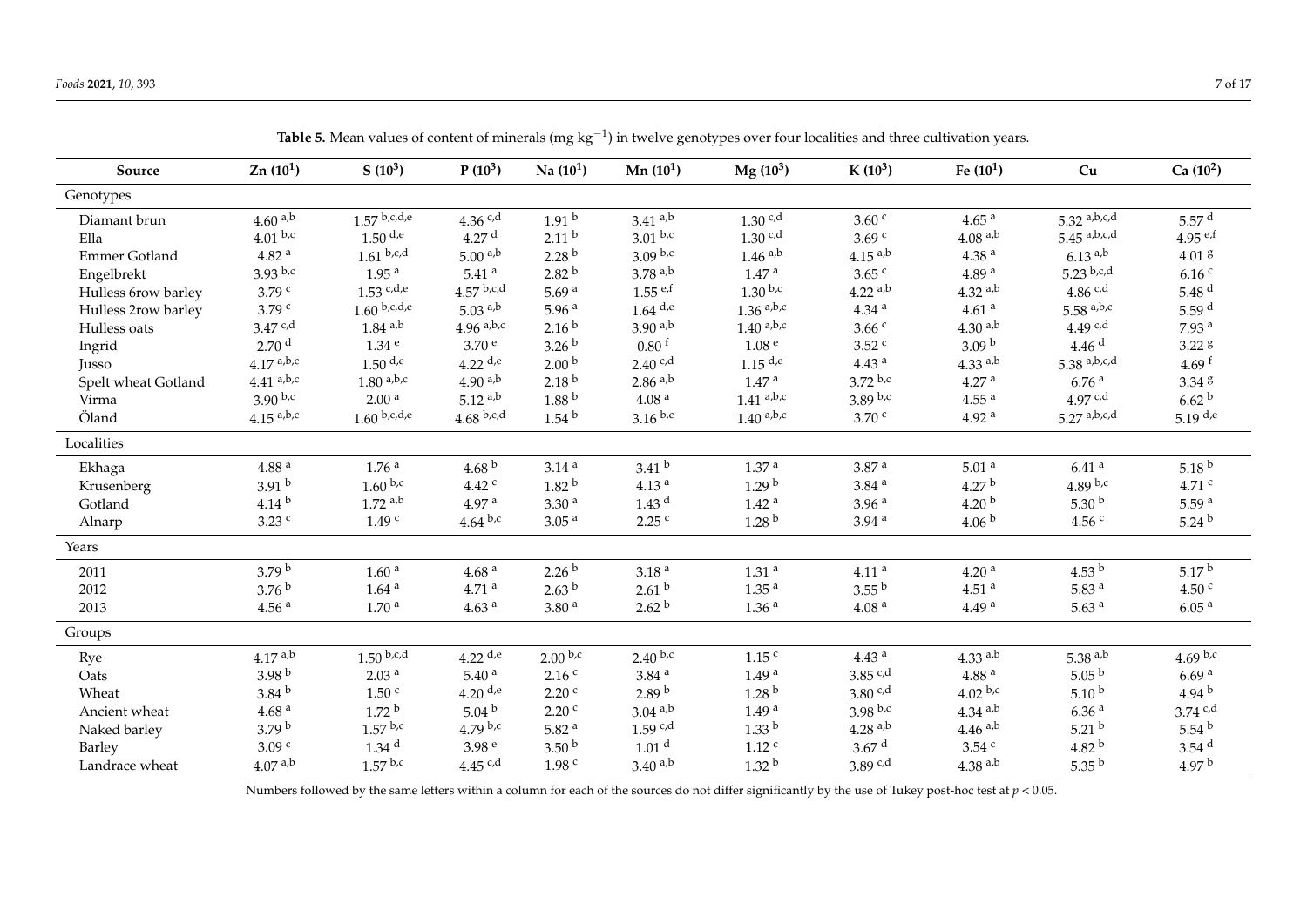| Source              | Zn(10 <sup>1</sup> )     | $S(10^3)$              | $P(10^3)$             | Na(10 <sup>1</sup> ) | Mn $(10^1)$           | $Mg(10^3)$            | $K(10^3)$             | Fe $(10^1)$           | Cu                    | $Ca(10^2)$          |
|---------------------|--------------------------|------------------------|-----------------------|----------------------|-----------------------|-----------------------|-----------------------|-----------------------|-----------------------|---------------------|
| Genotypes           |                          |                        |                       |                      |                       |                       |                       |                       |                       |                     |
| Diamant brun        | 4.60 <sup>a,b</sup>      | $1.57$ b,c,d,e         | $4.36$ c,d            | 1.91 <sup>b</sup>    | $3.41^{a,b}$          | $1.30$ c,d            | 3.60 <sup>c</sup>     | 4.65 <sup>a</sup>     | $5.32^{a,b,c,d}$      | 5.57 <sup>d</sup>   |
| Ella                | $4.01^{b,c}$             | $1.50$ d <sub>,e</sub> | 4.27 <sup>d</sup>     | 2.11 <sup>b</sup>    | $3.01^{b,c}$          | $1.30$ c,d            | 3.69 <sup>c</sup>     | $4.08^{a,b}$          | $5.45^{a,b,c,d}$      | 4.95 $e^{f}$        |
| Emmer Gotland       | 4.82 <sup>a</sup>        | $1.61^{ b,c,d}$        | $5.00^{a,b}$          | 2.28 <sup>b</sup>    | $3.09^{b,c}$          | $1.46$ <sup>a,b</sup> | $4.15^{a,b}$          | 4.38 <sup>a</sup>     | $6.13$ <sup>a,b</sup> | 4.01 <sup>g</sup>   |
| Engelbrekt          | $3.93$ b,c               | $1.95$ $^{\rm a}$      | $5.41$ <sup>a</sup>   | 2.82 <sup>b</sup>    | $3.78$ <sup>a,b</sup> | $1.47$ $^{\rm a}$     | $3.65$ $\degree$      | 4.89 <sup>a</sup>     | $5.23^{b,c,d}$        | 6.16 <sup>c</sup>   |
| Hulless 6row barley | 3.79 <sup>c</sup>        | $1.53$ c,d,e           | $4.57$ b,c,d          | 5.69 $a$             | $1.55$ e,f            | $1.30^{b,c}$          | $4.22$ <sup>a,b</sup> | $4.32$ <sup>a,b</sup> | 4.86 $c,d$            | 5.48 $d$            |
| Hulless 2row barley | 3.79 <sup>c</sup>        | $1.60$ b,c,d,e         | $5.03$ <sup>a,b</sup> | 5.96 $a$             | $1.64$ d,e            | $1.36$ a,b,c          | $4.34$ $^{\rm a}$     | 4.61 <sup>a</sup>     | $5.58$ a,b,c          | 5.59 $d$            |
| Hulless oats        | $3.47$ c,d               | $1.84$ <sup>a,b</sup>  | $4.96$ a,b,c          | 2.16 <sup>b</sup>    | $3.90^{a,b}$          | $1.40^{a,b,c}$        | 3.66c                 | $4.30^{a,b}$          | 4.49 $c,d$            | 7.93 <sup>a</sup>   |
| Ingrid              | 2.70 <sup>d</sup>        | $1.34$ <sup>e</sup>    | 3.70 <sup>e</sup>     | 3.26 <sup>b</sup>    | $0.80$ <sup>f</sup>   | 1.08 <sup>e</sup>     | 3.52 c                | 3.09 <sup>b</sup>     | 4.46 <sup>d</sup>     | 3.22g               |
| Jusso               | $4.17$ a,b,c             | $1.50$ d <sub>,e</sub> | $4.22$ d,e            | 2.00 <sup>b</sup>    | 2.40 c.d              | $1.15$ <sup>d,e</sup> | 4.43 <sup>a</sup>     | $4.33$ <sup>a,b</sup> | 5.38 $a,b,c,d$        | 4.69 $f$            |
| Spelt wheat Gotland | $4.41^{\mathrm{~a,b,c}}$ | $1.80^{a,b,c}$         | $4.90^{a,b}$          | 2.18 <sup>b</sup>    | $2.86$ <sup>a,b</sup> | 1.47 <sup>a</sup>     | $3.72^{b,c}$          | 4.27 <sup>a</sup>     | 6.76 <sup>a</sup>     | 3.34~8              |
| Virma               | $3.90^{b,c}$             | 2.00 <sup>a</sup>      | $5.12^{a,b}$          | 1.88 <sup>b</sup>    | 4.08 <sup>a</sup>     | $1.41^{a,b,c}$        | $3.89^{ b,c}$         | 4.55 <sup>a</sup>     | 4.97 $c,d$            | 6.62 <sup>b</sup>   |
| Öland               | $4.15^{a,b,c}$           | $1.60^{ b,c,d,e}$      | $4.68^{ b,c,d}$       | 1.54 <sup>b</sup>    | $3.16^{b,c}$          | $1.40\ ^{\rm a,b,c}$  | $3.70$ $\degree$      | 4.92 <sup>a</sup>     | $5.27^{a,b,c,d}$      | $5.19$ d,e          |
| Localities          |                          |                        |                       |                      |                       |                       |                       |                       |                       |                     |
| Ekhaga              | $4.88$ $^{\rm a}$        | 1.76 <sup>a</sup>      | 4.68 $^{\rm b}$       | 3.14 <sup>a</sup>    | 3.41 <sup>b</sup>     | 1.37 <sup>a</sup>     | 3.87 <sup>a</sup>     | 5.01 <sup>a</sup>     | $6.41$ <sup>a</sup>   | 5.18 $^{\rm b}$     |
| Krusenberg          | 3.91 <sup>b</sup>        | $1.60^{b,c}$           | 4.42 <sup>c</sup>     | 1.82 <sup>b</sup>    | 4.13 <sup>a</sup>     | 1.29 <sup>b</sup>     | 3.84 <sup>a</sup>     | 4.27 $^{\rm b}$       | 4.89 $b,c$            | $4.71$ c            |
| Gotland             | 4.14 $^{\rm b}$          | $1.72$ a,b             | 4.97 <sup>a</sup>     | 3.30 <sup>a</sup>    | $1.43$ <sup>d</sup>   | 1.42 <sup>a</sup>     | 3.96 <sup>a</sup>     | 4.20 <sup>b</sup>     | 5.30 $^{\rm b}$       | 5.59 <sup>a</sup>   |
| Alnarp              | $3.23$ c                 | 1.49 <sup>c</sup>      | $4.64^{b,c}$          | 3.05 <sup>a</sup>    | $2.25$ c              | 1.28 <sup>b</sup>     | $3.94$ <sup>a</sup>   | 4.06 <sup>b</sup>     | 4.56 $^{\circ}$       | 5.24 $^{\rm b}$     |
| Years               |                          |                        |                       |                      |                       |                       |                       |                       |                       |                     |
| 2011                | 3.79 <sup>b</sup>        | 1.60 <sup>a</sup>      | 4.68 <sup>a</sup>     | 2.26 <sup>b</sup>    | 3.18 <sup>a</sup>     | 1.31 <sup>a</sup>     | 4.11 <sup>a</sup>     | 4.20 <sup>a</sup>     | 4.53 $^{\rm b}$       | 5.17 <sup>b</sup>   |
| 2012                | 3.76 <sup>b</sup>        | $1.64$ <sup>a</sup>    | 4.71 <sup>a</sup>     | 2.63 <sup>b</sup>    | 2.61 <sup>b</sup>     | 1.35 <sup>a</sup>     | $3.55^{b}$            | 4.51 <sup>a</sup>     | 5.83 <sup>a</sup>     | 4.50 <sup>c</sup>   |
| 2013                | 4.56 <sup>a</sup>        | 1.70 <sup>a</sup>      | 4.63 <sup>a</sup>     | 3.80 <sup>a</sup>    | 2.62 <sup>b</sup>     | 1.36 <sup>a</sup>     | 4.08 <sup>a</sup>     | 4.49 <sup>a</sup>     | 5.63 $a$              | 6.05 <sup>a</sup>   |
| Groups              |                          |                        |                       |                      |                       |                       |                       |                       |                       |                     |
| Rye                 | $4.17^{a,b}$             | $1.50$ b,c,d           | $4.22$ d,e            | $2.00^{b,c}$         | $2.40^{b,c}$          | 1.15 <sup>c</sup>     | 4.43 <sup>a</sup>     | $4.33^{a,b}$          | 5.38 $a,b$            | 4.69 $b,c$          |
| Oats                | 3.98 $^{\rm b}$          | 2.03 <sup>a</sup>      | 5.40 <sup>a</sup>     | 2.16 <sup>c</sup>    | 3.84 <sup>a</sup>     | 1.49 <sup>a</sup>     | 3.85 $c,d$            | 4.88 <sup>a</sup>     | $5.05^{b}$            | 6.69 <sup>a</sup>   |
| Wheat               | 3.84 <sup>b</sup>        | 1.50 <sup>c</sup>      | $4.20$ d,e            | 2.20 <sup>c</sup>    | 2.89 <sup>b</sup>     | 1.28 <sup>b</sup>     | 3.80 c.d              | $4.02^{b,c}$          | $5.10^{b}$            | 4.94 $^{\rm b}$     |
| Ancient wheat       | 4.68 <sup>a</sup>        | 1.72 <sup>b</sup>      | 5.04 <sup>b</sup>     | 2.20 <sup>c</sup>    | $3.04$ <sup>a,b</sup> | 1.49 <sup>a</sup>     | 3.98 b.c              | $4.34$ <sup>a,b</sup> | 6.36 <sup>a</sup>     | $3.74$ c,d          |
| Naked barley        | 3.79 <sup>b</sup>        | $1.57$ b,c             | 4.79 b.c              | 5.82 $a$             | $1.59$ c,d            | 1.33 <sup>b</sup>     | $4.28$ <sup>a,b</sup> | $4.46^{a,b}$          | 5.21 <sup>b</sup>     | 5.54 $^{\rm b}$     |
| <b>Barley</b>       | 3.09 <sup>c</sup>        | 1.34 <sup>d</sup>      | 3.98 <sup>e</sup>     | 3.50 <sup>b</sup>    | 1.01 <sup>d</sup>     | $1.12$ c              | 3.67 <sup>d</sup>     | $3.54$ c              | 4.82 $^{\rm b}$       | $3.54$ <sup>d</sup> |
| Landrace wheat      | $4.07^{\;{\rm a,b}}$     | $1.57^{b,c}$           | 4.45 $c,d$            | 1.98 <sup>c</sup>    | $3.40^{a,b}$          | 1.32 <sup>b</sup>     | 3.89 c.d              | $4.38$ <sup>a,b</sup> | $5.35^{b}$            | 4.97 <sup>b</sup>   |

**Table 5.** Mean values of content of minerals (mg kg<sup>−1</sup>) in twelve genotypes over four localities and three cultivation years.

<span id="page-6-0"></span>Numbers followed by the same letters within a column for each of the sources do not differ significantly by the use of Tukey post-hoc test at  $p < 0.05$ .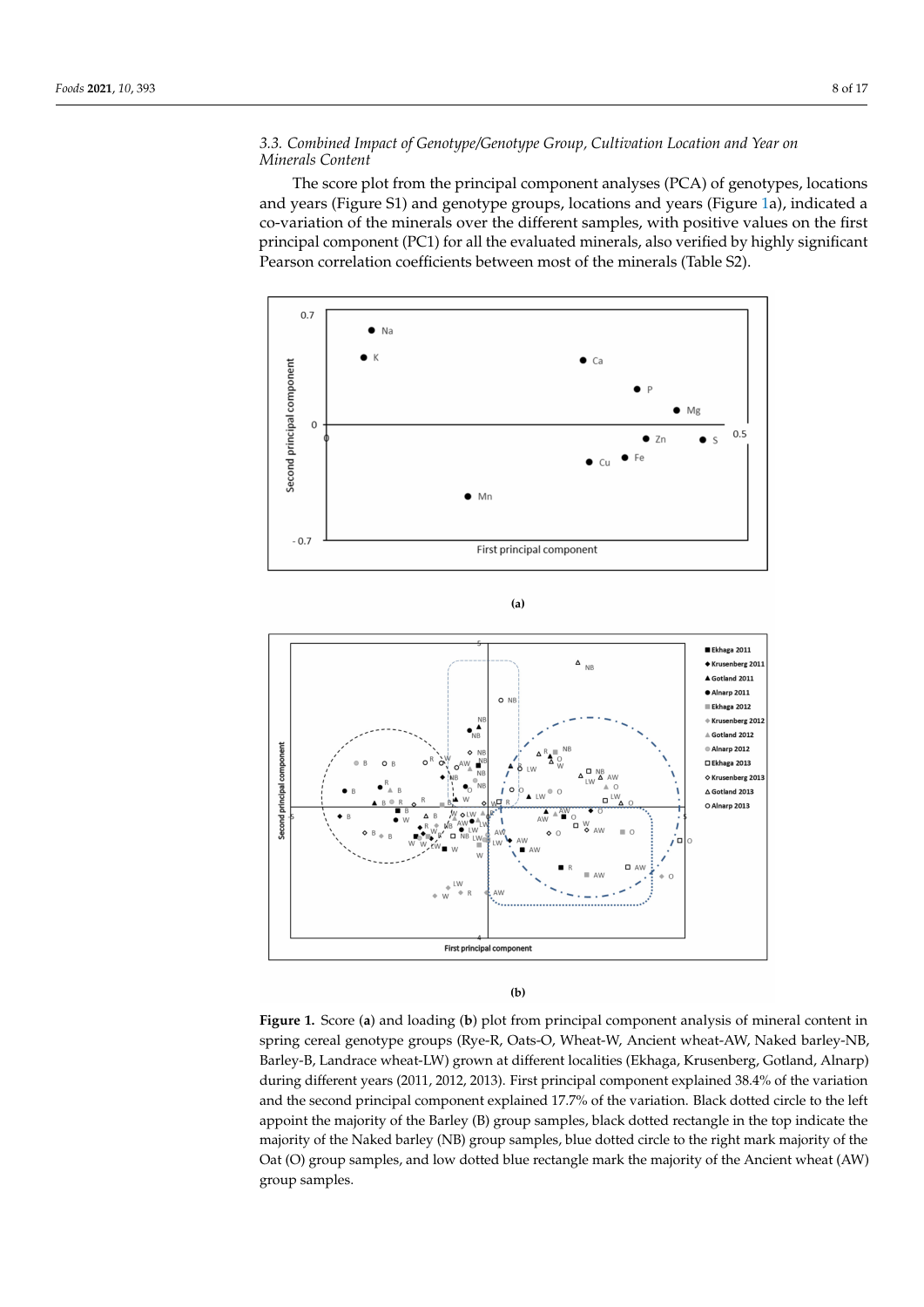## *3.3. Combined Impact of Genotype/Genotype Group, Cultivation Location and Year on Minerals Content*

The score plot from the principal component analyses (PCA) of genotypes, locations and years (Figure S1) and genotype groups, locations and years (Figure [1a](#page-7-0)), indicated a co-variation of the minerals over the different samples, with positive values on the first principal component (PC1) for all the evaluated minerals, also verified by highly significant Pearson correlation coefficients between most of the minerals (Table S2).

<span id="page-7-0"></span>

 $(a)$ 



 $(b)$ 

**Figure 1.** Score (**a**) and loading (**b**) plot from principal component analysis of mineral content in spring cereal genotype groups (Rye-R, Oats-O, Wheat-W, Ancient wheat-AW, Naked barley-NB, Barley-B, Landrace wheat-LW) grown at different localities (Ekhaga, Krusenberg, Gotland, Alnarp) during different years (2011, 2012, 2013). First principal component explained 38.4% of the variation and the second principal component explained 17.7% of the variation. Black dotted circle to the left appoint the majority of the Barley (B) group samples, black dotted rectangle in the top indicate the majority of the Naked barley (NB) group samples, blue dotted circle to the right mark majority of the Oat (O) group samples, and low dotted blue rectangle mark the majority of the Ancient wheat (AW) group samples.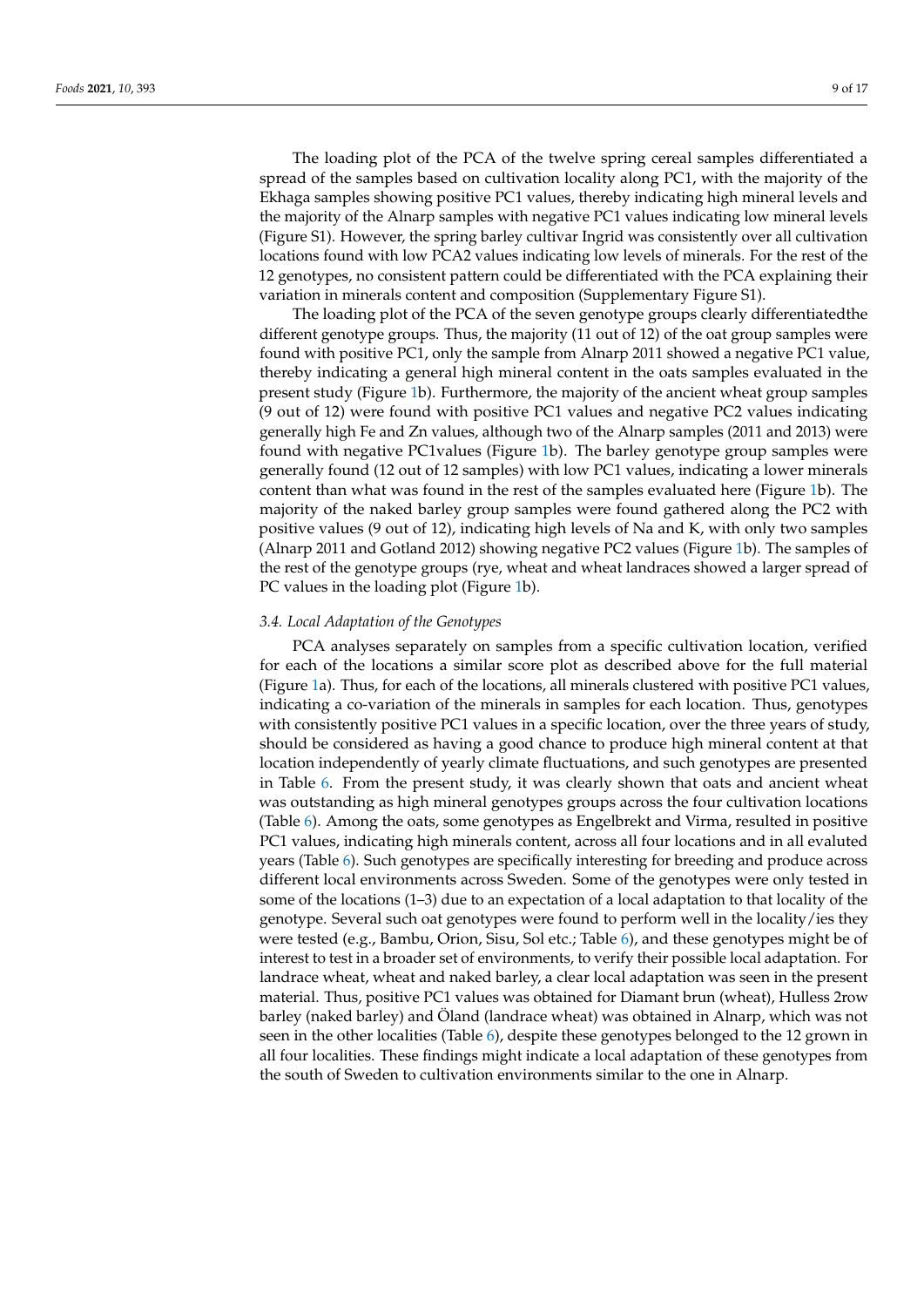The loading plot of the PCA of the twelve spring cereal samples differentiated a spread of the samples based on cultivation locality along PC1, with the majority of the Ekhaga samples showing positive PC1 values, thereby indicating high mineral levels and the majority of the Alnarp samples with negative PC1 values indicating low mineral levels (Figure S1). However, the spring barley cultivar Ingrid was consistently over all cultivation locations found with low PCA2 values indicating low levels of minerals. For the rest of the 12 genotypes, no consistent pattern could be differentiated with the PCA explaining their

The loading plot of the PCA of the seven genotype groups clearly differentiatedthe different genotype groups. Thus, the majority (11 out of 12) of the oat group samples were found with positive PC1, only the sample from Alnarp 2011 showed a negative PC1 value, thereby indicating a general high mineral content in the oats samples evaluated in the present study (Figure [1b](#page-7-0)). Furthermore, the majority of the ancient wheat group samples (9 out of 12) were found with positive PC1 values and negative PC2 values indicating generally high Fe and Zn values, although two of the Alnarp samples (2011 and 2013) were found with negative PC1values (Figure [1b](#page-7-0)). The barley genotype group samples were generally found (12 out of 12 samples) with low PC1 values, indicating a lower minerals content than what was found in the rest of the samples evaluated here (Figure [1b](#page-7-0)). The majority of the naked barley group samples were found gathered along the PC2 with positive values (9 out of 12), indicating high levels of Na and K, with only two samples (Alnarp 2011 and Gotland 2012) showing negative PC2 values (Figure [1b](#page-7-0)). The samples of the rest of the genotype groups (rye, wheat and wheat landraces showed a larger spread of PC values in the loading plot (Figure [1b](#page-7-0)).

variation in minerals content and composition (Supplementary Figure S1).

### *3.4. Local Adaptation of the Genotypes*

PCA analyses separately on samples from a specific cultivation location, verified for each of the locations a similar score plot as described above for the full material (Figure [1a](#page-7-0)). Thus, for each of the locations, all minerals clustered with positive PC1 values, indicating a co-variation of the minerals in samples for each location. Thus, genotypes with consistently positive PC1 values in a specific location, over the three years of study, should be considered as having a good chance to produce high mineral content at that location independently of yearly climate fluctuations, and such genotypes are presented in Table [6.](#page-9-0) From the present study, it was clearly shown that oats and ancient wheat was outstanding as high mineral genotypes groups across the four cultivation locations (Table [6\)](#page-9-0). Among the oats, some genotypes as Engelbrekt and Virma, resulted in positive PC1 values, indicating high minerals content, across all four locations and in all evaluted years (Table [6\)](#page-9-0). Such genotypes are specifically interesting for breeding and produce across different local environments across Sweden. Some of the genotypes were only tested in some of the locations (1–3) due to an expectation of a local adaptation to that locality of the genotype. Several such oat genotypes were found to perform well in the locality/ies they were tested (e.g., Bambu, Orion, Sisu, Sol etc.; Table [6\)](#page-9-0), and these genotypes might be of interest to test in a broader set of environments, to verify their possible local adaptation. For landrace wheat, wheat and naked barley, a clear local adaptation was seen in the present material. Thus, positive PC1 values was obtained for Diamant brun (wheat), Hulless 2row barley (naked barley) and Öland (landrace wheat) was obtained in Alnarp, which was not seen in the other localities (Table [6\)](#page-9-0), despite these genotypes belonged to the 12 grown in all four localities. These findings might indicate a local adaptation of these genotypes from the south of Sweden to cultivation environments similar to the one in Alnarp.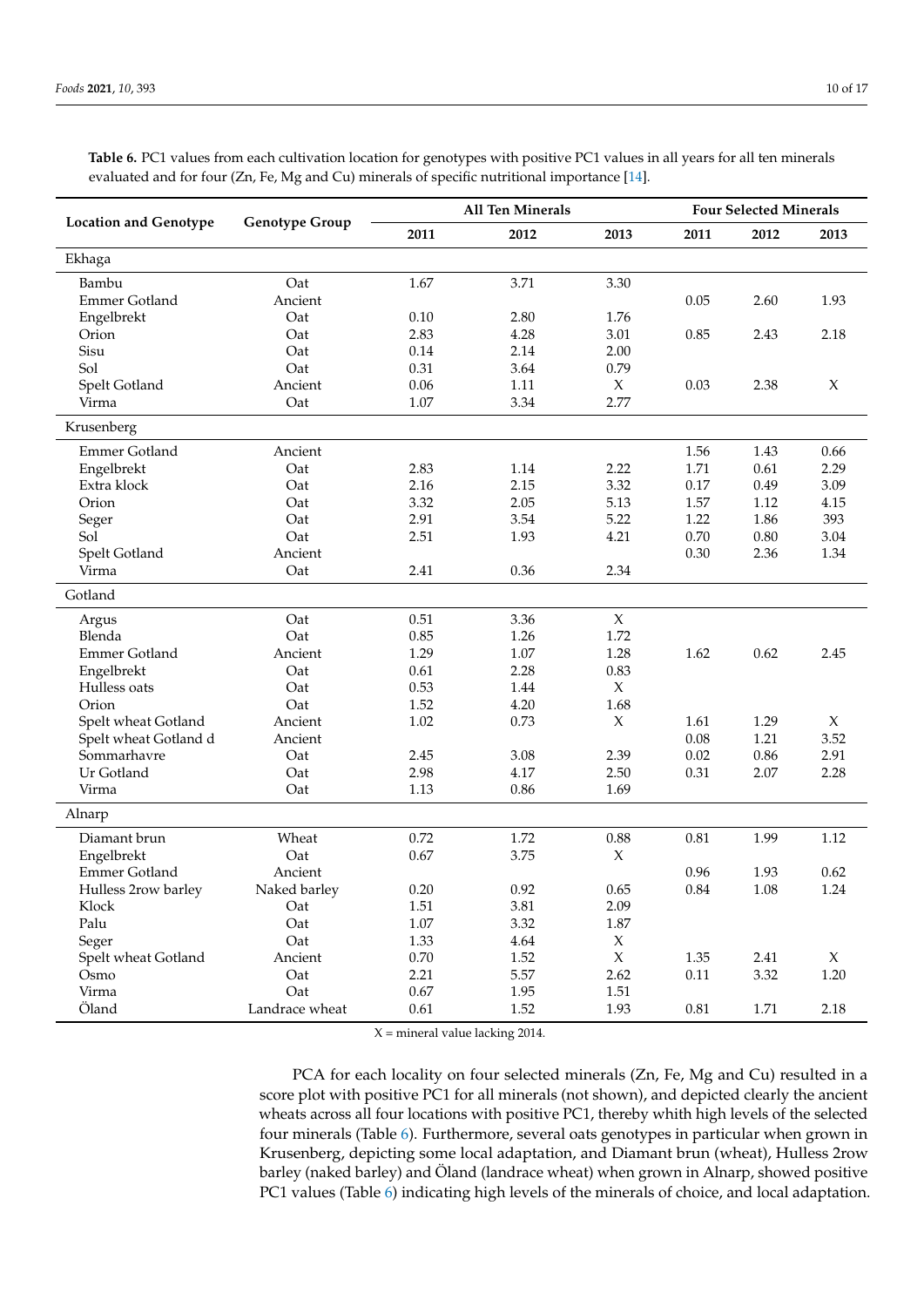|                              |                       | <b>All Ten Minerals</b> | <b>Four Selected Minerals</b> |                     |          |          |        |
|------------------------------|-----------------------|-------------------------|-------------------------------|---------------------|----------|----------|--------|
| <b>Location and Genotype</b> | <b>Genotype Group</b> | 2011                    | 2012                          | 2013                | 2011     | 2012     | 2013   |
| Ekhaga                       |                       |                         |                               |                     |          |          |        |
| Bambu                        | Oat                   | 1.67                    | 3.71                          | 3.30                |          |          |        |
| <b>Emmer Gotland</b>         | Ancient               |                         |                               |                     | 0.05     | 2.60     | 1.93   |
| Engelbrekt                   | Oat                   | 0.10                    | 2.80                          | 1.76                |          |          |        |
| Orion                        | Oat                   | 2.83                    | 4.28                          | 3.01                | 0.85     | 2.43     | 2.18   |
| Sisu                         | Oat                   | 0.14                    | 2.14                          | 2.00                |          |          |        |
| Sol                          | Oat                   | 0.31                    | 3.64                          | 0.79                |          |          |        |
| Spelt Gotland                | Ancient               | 0.06                    | 1.11                          | $\chi$              | 0.03     | 2.38     | X      |
| Virma                        | Oat                   | 1.07                    | 3.34                          | 2.77                |          |          |        |
| Krusenberg                   |                       |                         |                               |                     |          |          |        |
| Emmer Gotland                | Ancient               |                         |                               |                     | 1.56     | 1.43     | 0.66   |
| Engelbrekt                   | Oat                   | 2.83                    | 1.14                          | 2.22                | 1.71     | 0.61     | 2.29   |
| Extra klock                  | Oat                   | 2.16                    | 2.15                          | 3.32                | 0.17     | 0.49     | 3.09   |
| Orion                        | Oat                   | 3.32                    | 2.05                          | 5.13                | 1.57     | 1.12     | 4.15   |
| Seger                        | Oat                   | 2.91                    | 3.54                          | 5.22                | 1.22     | 1.86     | 393    |
| Sol                          | Oat                   | 2.51                    | 1.93                          | 4.21                | $0.70\,$ | $0.80\,$ | 3.04   |
| Spelt Gotland                | Ancient               |                         |                               |                     | 0.30     | 2.36     | 1.34   |
| Virma                        | Oat                   | 2.41                    | 0.36                          | 2.34                |          |          |        |
| Gotland                      |                       |                         |                               |                     |          |          |        |
| Argus                        | Oat                   | 0.51                    | 3.36                          | $\mathsf X$         |          |          |        |
| Blenda                       | Oat                   | 0.85                    | 1.26                          | 1.72                |          |          |        |
| Emmer Gotland                | Ancient               | 1.29                    | 1.07                          | 1.28                | 1.62     | 0.62     | 2.45   |
| Engelbrekt                   | Oat                   | 0.61                    | 2.28                          | 0.83                |          |          |        |
| Hulless oats                 | Oat                   | 0.53                    | 1.44                          | $\chi$              |          |          |        |
| Orion                        | Oat                   | 1.52                    | 4.20                          | 1.68                |          |          |        |
| Spelt wheat Gotland          | Ancient               | 1.02                    | 0.73                          | $\boldsymbol{\chi}$ | 1.61     | 1.29     | $\chi$ |
| Spelt wheat Gotland d        | Ancient               |                         |                               |                     | 0.08     | 1.21     | 3.52   |
| Sommarhavre                  | Oat                   | 2.45                    | 3.08                          | 2.39                | 0.02     | 0.86     | 2.91   |
| Ur Gotland                   | Oat                   | 2.98                    | 4.17                          | 2.50                | 0.31     | 2.07     | 2.28   |
| Virma                        | Oat                   | 1.13                    | 0.86                          | 1.69                |          |          |        |
| Alnarp                       |                       |                         |                               |                     |          |          |        |
| Diamant brun                 | Wheat                 | 0.72                    | 1.72                          | 0.88                | 0.81     | 1.99     | 1.12   |
| Engelbrekt                   | Oat                   | 0.67                    | 3.75                          | X                   |          |          |        |
| <b>Emmer Gotland</b>         | Ancient               |                         |                               |                     | 0.96     | 1.93     | 0.62   |
| Hulless 2row barley          | Naked barley          | $0.20\,$                | $0.92\,$                      | 0.65                | $0.84\,$ | 1.08     | 1.24   |
| Klock                        | Oat                   | 1.51                    | 3.81                          | 2.09                |          |          |        |
| Palu                         | Oat                   | 1.07                    | 3.32                          | $1.87\,$            |          |          |        |
| Seger                        | Oat                   | 1.33                    | 4.64                          | $\boldsymbol{\chi}$ |          |          |        |
| Spelt wheat Gotland          | Ancient               | 0.70                    | 1.52                          | $\chi$              | 1.35     | 2.41     | X      |
| Osmo                         | Oat                   | 2.21                    | 5.57                          | 2.62                | $0.11\,$ | 3.32     | 1.20   |
| Virma                        | Oat                   | 0.67                    | 1.95                          | 1.51                |          |          |        |
| Öland                        | Landrace wheat        | 0.61                    | 1.52                          | 1.93                | $0.81\,$ | 1.71     | 2.18   |

<span id="page-9-0"></span>**Table 6.** PC1 values from each cultivation location for genotypes with positive PC1 values in all years for all ten minerals evaluated and for four (Zn, Fe, Mg and Cu) minerals of specific nutritional importance [\[14\]](#page-14-11).

 $X =$  mineral value lacking 2014.

PCA for each locality on four selected minerals (Zn, Fe, Mg and Cu) resulted in a score plot with positive PC1 for all minerals (not shown), and depicted clearly the ancient wheats across all four locations with positive PC1, thereby whith high levels of the selected four minerals (Table [6\)](#page-9-0). Furthermore, several oats genotypes in particular when grown in Krusenberg, depicting some local adaptation, and Diamant brun (wheat), Hulless 2row barley (naked barley) and Öland (landrace wheat) when grown in Alnarp, showed positive PC1 values (Table [6\)](#page-9-0) indicating high levels of the minerals of choice, and local adaptation.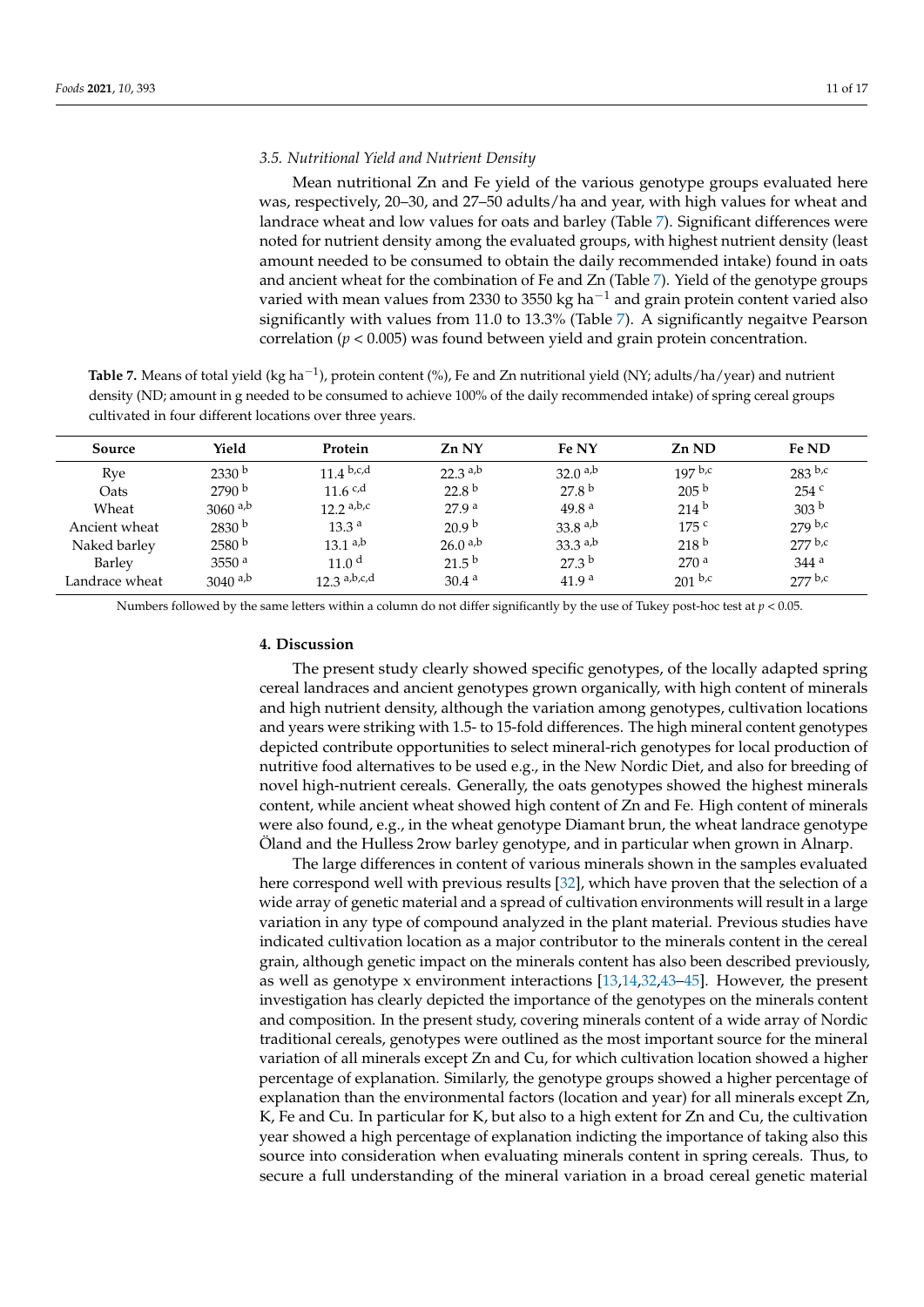## *3.5. Nutritional Yield and Nutrient Density*

Mean nutritional Zn and Fe yield of the various genotype groups evaluated here was, respectively, 20–30, and 27–50 adults/ha and year, with high values for wheat and landrace wheat and low values for oats and barley (Table [7\)](#page-10-0). Significant differences were noted for nutrient density among the evaluated groups, with highest nutrient density (least amount needed to be consumed to obtain the daily recommended intake) found in oats and ancient wheat for the combination of Fe and Zn (Table [7\)](#page-10-0). Yield of the genotype groups varied with mean values from 2330 to 3550 kg ha<sup>-1</sup> and grain protein content varied also significantly with values from 11.0 to 13.3% (Table [7\)](#page-10-0). A significantly negaitve Pearson correlation (*p* < 0.005) was found between yield and grain protein concentration.

<span id="page-10-0"></span>**Table 7.** Means of total yield (kg ha<sup>−1</sup>), protein content (%), Fe and Zn nutritional yield (NY; adults/ha/year) and nutrient density (ND; amount in g needed to be consumed to achieve 100% of the daily recommended intake) of spring cereal groups cultivated in four different locations over three years.

| Source         | Yield                 | Protein           | Zn NY             | Fe NY               | Zn ND            | Fe ND              |
|----------------|-----------------------|-------------------|-------------------|---------------------|------------------|--------------------|
| Rye            | 2330 b                | 11 4 b, c, d      | $22.3$ a,b        | $32.0^{a,b}$        | $197$ b,c        | $283$ b,c          |
| Oats           | 2790 <sup>b</sup>     | 11.6 c,d          | 22.8 <sup>b</sup> | 27.8 <sup>b</sup>   | 205 <sup>b</sup> | 254c               |
| Wheat          | 3060 $a,b$            | 12.2 a,b,c        | 27.9 <sup>a</sup> | 49.8 <sup>a</sup>   | 214 <sup>b</sup> | 303 <sup>b</sup>   |
| Ancient wheat  | 2830 <sup>b</sup>     | 13.3 <sup>a</sup> | 20.9 <sup>b</sup> | 33.8 $a,b$          | 175c             | $279$ b,c          |
| Naked barley   | 2580 <sup>b</sup>     | $13.1^{a,b}$      | $26.0^{a,b}$      | $33.3^{a,b}$        | 218 <sup>b</sup> | 277 b,c            |
| Barley         | 3550 <sup>a</sup>     | 11.0 <sup>d</sup> | $21.5^{b}$        | $27.3^{\mathrm{b}}$ | 270 <sup>a</sup> | $344$ <sup>a</sup> |
| Landrace wheat | $3040$ <sup>a,b</sup> | $12.3$ a,b,c,d    | 30.4 <sup>a</sup> | 41.9 <sup>a</sup>   | $201^{b,c}$      | 277 b,c            |

Numbers followed by the same letters within a column do not differ significantly by the use of Tukey post-hoc test at *p* < 0.05.

#### **4. Discussion**

The present study clearly showed specific genotypes, of the locally adapted spring cereal landraces and ancient genotypes grown organically, with high content of minerals and high nutrient density, although the variation among genotypes, cultivation locations and years were striking with 1.5- to 15-fold differences. The high mineral content genotypes depicted contribute opportunities to select mineral-rich genotypes for local production of nutritive food alternatives to be used e.g., in the New Nordic Diet, and also for breeding of novel high-nutrient cereals. Generally, the oats genotypes showed the highest minerals content, while ancient wheat showed high content of Zn and Fe. High content of minerals were also found, e.g., in the wheat genotype Diamant brun, the wheat landrace genotype Öland and the Hulless 2row barley genotype, and in particular when grown in Alnarp.

The large differences in content of various minerals shown in the samples evaluated here correspond well with previous results [\[32\]](#page-15-7), which have proven that the selection of a wide array of genetic material and a spread of cultivation environments will result in a large variation in any type of compound analyzed in the plant material. Previous studies have indicated cultivation location as a major contributor to the minerals content in the cereal grain, although genetic impact on the minerals content has also been described previously, as well as genotype x environment interactions [\[13](#page-14-8)[,14](#page-14-11)[,32](#page-15-7)[,43–](#page-16-0)[45\]](#page-16-1). However, the present investigation has clearly depicted the importance of the genotypes on the minerals content and composition. In the present study, covering minerals content of a wide array of Nordic traditional cereals, genotypes were outlined as the most important source for the mineral variation of all minerals except Zn and Cu, for which cultivation location showed a higher percentage of explanation. Similarly, the genotype groups showed a higher percentage of explanation than the environmental factors (location and year) for all minerals except Zn, K, Fe and Cu. In particular for K, but also to a high extent for Zn and Cu, the cultivation year showed a high percentage of explanation indicting the importance of taking also this source into consideration when evaluating minerals content in spring cereals. Thus, to secure a full understanding of the mineral variation in a broad cereal genetic material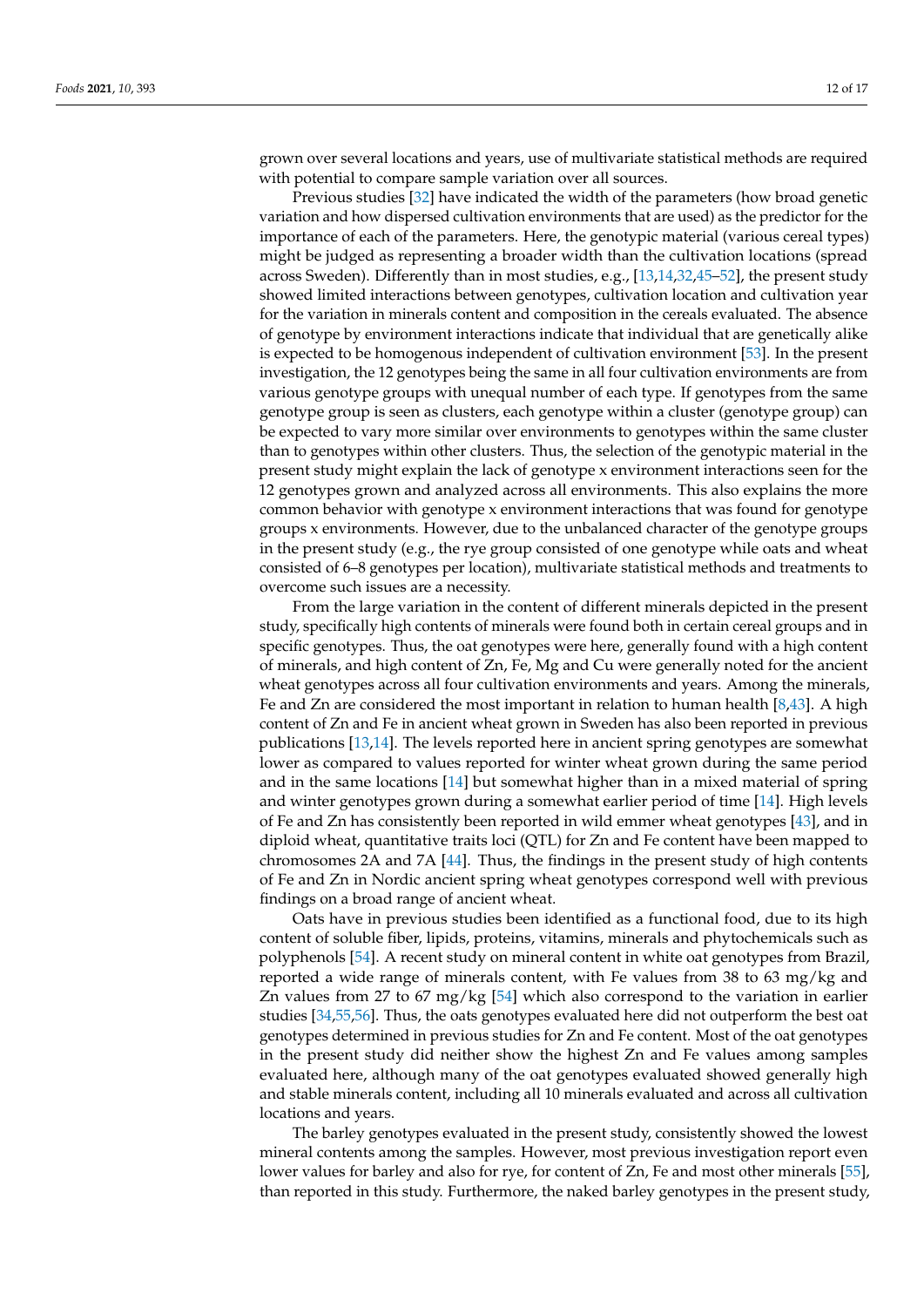grown over several locations and years, use of multivariate statistical methods are required with potential to compare sample variation over all sources.

Previous studies [\[32\]](#page-15-7) have indicated the width of the parameters (how broad genetic variation and how dispersed cultivation environments that are used) as the predictor for the importance of each of the parameters. Here, the genotypic material (various cereal types) might be judged as representing a broader width than the cultivation locations (spread across Sweden). Differently than in most studies, e.g., [\[13](#page-14-8)[,14](#page-14-11)[,32](#page-15-7)[,45–](#page-16-1)[52\]](#page-16-2), the present study showed limited interactions between genotypes, cultivation location and cultivation year for the variation in minerals content and composition in the cereals evaluated. The absence of genotype by environment interactions indicate that individual that are genetically alike is expected to be homogenous independent of cultivation environment [\[53\]](#page-16-3). In the present investigation, the 12 genotypes being the same in all four cultivation environments are from various genotype groups with unequal number of each type. If genotypes from the same genotype group is seen as clusters, each genotype within a cluster (genotype group) can be expected to vary more similar over environments to genotypes within the same cluster than to genotypes within other clusters. Thus, the selection of the genotypic material in the present study might explain the lack of genotype x environment interactions seen for the 12 genotypes grown and analyzed across all environments. This also explains the more common behavior with genotype x environment interactions that was found for genotype groups x environments. However, due to the unbalanced character of the genotype groups in the present study (e.g., the rye group consisted of one genotype while oats and wheat consisted of 6–8 genotypes per location), multivariate statistical methods and treatments to overcome such issues are a necessity.

From the large variation in the content of different minerals depicted in the present study, specifically high contents of minerals were found both in certain cereal groups and in specific genotypes. Thus, the oat genotypes were here, generally found with a high content of minerals, and high content of Zn, Fe, Mg and Cu were generally noted for the ancient wheat genotypes across all four cultivation environments and years. Among the minerals, Fe and Zn are considered the most important in relation to human health [\[8,](#page-14-7)[43\]](#page-16-0). A high content of Zn and Fe in ancient wheat grown in Sweden has also been reported in previous publications [\[13,](#page-14-8)[14\]](#page-14-11). The levels reported here in ancient spring genotypes are somewhat lower as compared to values reported for winter wheat grown during the same period and in the same locations [\[14\]](#page-14-11) but somewhat higher than in a mixed material of spring and winter genotypes grown during a somewhat earlier period of time [\[14\]](#page-14-11). High levels of Fe and Zn has consistently been reported in wild emmer wheat genotypes [\[43\]](#page-16-0), and in diploid wheat, quantitative traits loci (QTL) for Zn and Fe content have been mapped to chromosomes 2A and 7A [\[44\]](#page-16-4). Thus, the findings in the present study of high contents of Fe and Zn in Nordic ancient spring wheat genotypes correspond well with previous findings on a broad range of ancient wheat.

Oats have in previous studies been identified as a functional food, due to its high content of soluble fiber, lipids, proteins, vitamins, minerals and phytochemicals such as polyphenols [\[54\]](#page-16-5). A recent study on mineral content in white oat genotypes from Brazil, reported a wide range of minerals content, with Fe values from 38 to 63 mg/kg and Zn values from 27 to 67 mg/kg [\[54\]](#page-16-5) which also correspond to the variation in earlier studies [\[34](#page-15-9)[,55,](#page-16-6)[56\]](#page-16-7). Thus, the oats genotypes evaluated here did not outperform the best oat genotypes determined in previous studies for Zn and Fe content. Most of the oat genotypes in the present study did neither show the highest Zn and Fe values among samples evaluated here, although many of the oat genotypes evaluated showed generally high and stable minerals content, including all 10 minerals evaluated and across all cultivation locations and years.

The barley genotypes evaluated in the present study, consistently showed the lowest mineral contents among the samples. However, most previous investigation report even lower values for barley and also for rye, for content of Zn, Fe and most other minerals [\[55\]](#page-16-6), than reported in this study. Furthermore, the naked barley genotypes in the present study,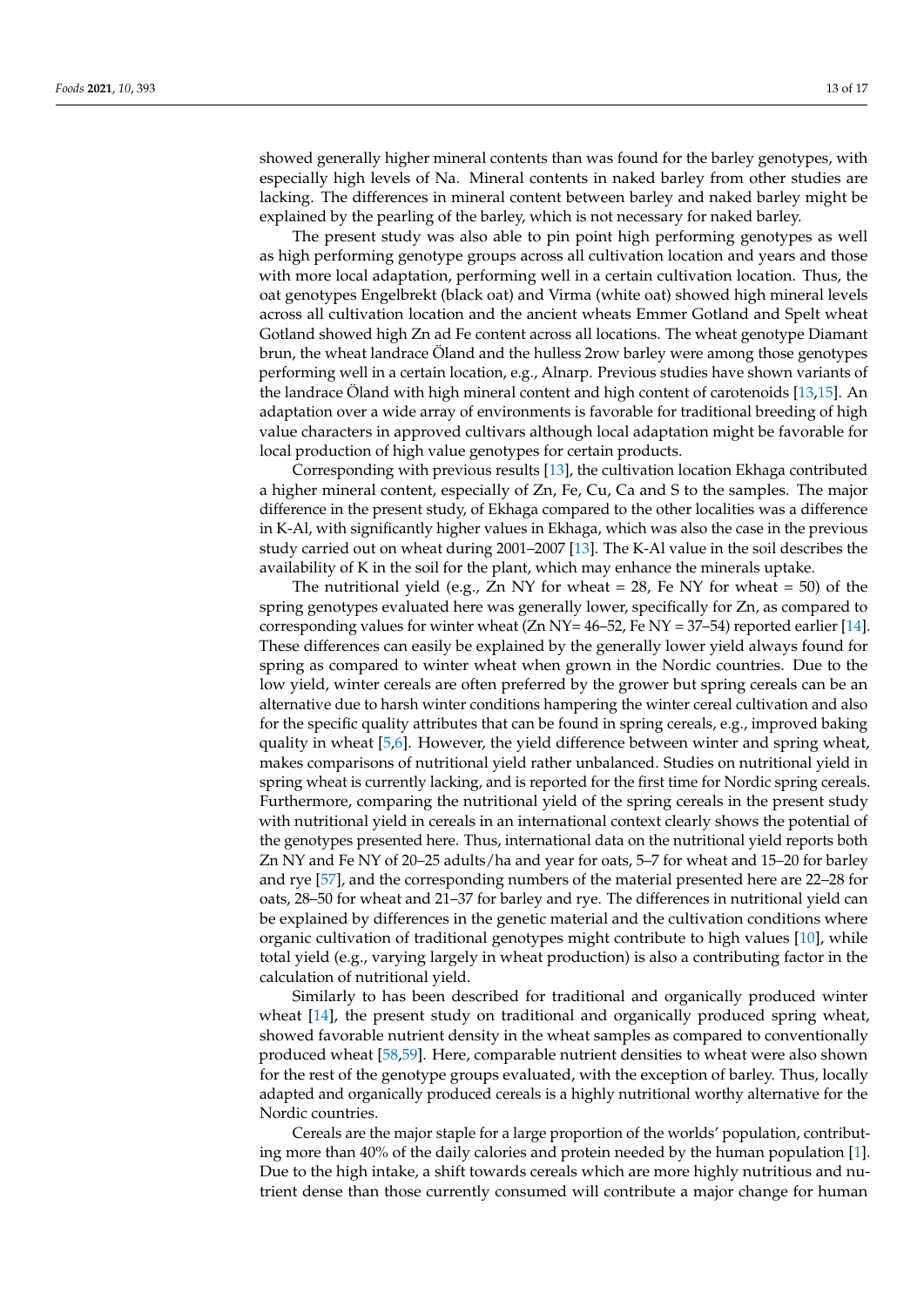showed generally higher mineral contents than was found for the barley genotypes, with especially high levels of Na. Mineral contents in naked barley from other studies are lacking. The differences in mineral content between barley and naked barley might be explained by the pearling of the barley, which is not necessary for naked barley.

The present study was also able to pin point high performing genotypes as well as high performing genotype groups across all cultivation location and years and those with more local adaptation, performing well in a certain cultivation location. Thus, the oat genotypes Engelbrekt (black oat) and Virma (white oat) showed high mineral levels across all cultivation location and the ancient wheats Emmer Gotland and Spelt wheat Gotland showed high Zn ad Fe content across all locations. The wheat genotype Diamant brun, the wheat landrace Öland and the hulless 2row barley were among those genotypes performing well in a certain location, e.g., Alnarp. Previous studies have shown variants of the landrace Öland with high mineral content and high content of carotenoids [\[13](#page-14-8)[,15\]](#page-14-12). An adaptation over a wide array of environments is favorable for traditional breeding of high value characters in approved cultivars although local adaptation might be favorable for local production of high value genotypes for certain products.

Corresponding with previous results [\[13\]](#page-14-8), the cultivation location Ekhaga contributed a higher mineral content, especially of Zn, Fe, Cu, Ca and S to the samples. The major difference in the present study, of Ekhaga compared to the other localities was a difference in K-Al, with significantly higher values in Ekhaga, which was also the case in the previous study carried out on wheat during 2001–2007 [\[13\]](#page-14-8). The K-Al value in the soil describes the availability of K in the soil for the plant, which may enhance the minerals uptake.

The nutritional yield (e.g., Zn NY for wheat = 28, Fe NY for wheat = 50) of the spring genotypes evaluated here was generally lower, specifically for Zn, as compared to corresponding values for winter wheat  $(Zn NY = 46–52$ , Fe NY = 37–54) reported earlier [\[14\]](#page-14-11). These differences can easily be explained by the generally lower yield always found for spring as compared to winter wheat when grown in the Nordic countries. Due to the low yield, winter cereals are often preferred by the grower but spring cereals can be an alternative due to harsh winter conditions hampering the winter cereal cultivation and also for the specific quality attributes that can be found in spring cereals, e.g., improved baking quality in wheat [\[5,](#page-14-3)[6\]](#page-14-4). However, the yield difference between winter and spring wheat, makes comparisons of nutritional yield rather unbalanced. Studies on nutritional yield in spring wheat is currently lacking, and is reported for the first time for Nordic spring cereals. Furthermore, comparing the nutritional yield of the spring cereals in the present study with nutritional yield in cereals in an international context clearly shows the potential of the genotypes presented here. Thus, international data on the nutritional yield reports both Zn NY and Fe NY of 20–25 adults/ha and year for oats, 5–7 for wheat and 15–20 for barley and rye [\[57\]](#page-16-8), and the corresponding numbers of the material presented here are 22–28 for oats, 28–50 for wheat and 21–37 for barley and rye. The differences in nutritional yield can be explained by differences in the genetic material and the cultivation conditions where organic cultivation of traditional genotypes might contribute to high values [\[10\]](#page-14-13), while total yield (e.g., varying largely in wheat production) is also a contributing factor in the calculation of nutritional yield.

Similarly to has been described for traditional and organically produced winter wheat [\[14\]](#page-14-11), the present study on traditional and organically produced spring wheat, showed favorable nutrient density in the wheat samples as compared to conventionally produced wheat [\[58,](#page-16-9)[59\]](#page-16-10). Here, comparable nutrient densities to wheat were also shown for the rest of the genotype groups evaluated, with the exception of barley. Thus, locally adapted and organically produced cereals is a highly nutritional worthy alternative for the Nordic countries.

Cereals are the major staple for a large proportion of the worlds' population, contributing more than 40% of the daily calories and protein needed by the human population [\[1\]](#page-14-0). Due to the high intake, a shift towards cereals which are more highly nutritious and nutrient dense than those currently consumed will contribute a major change for human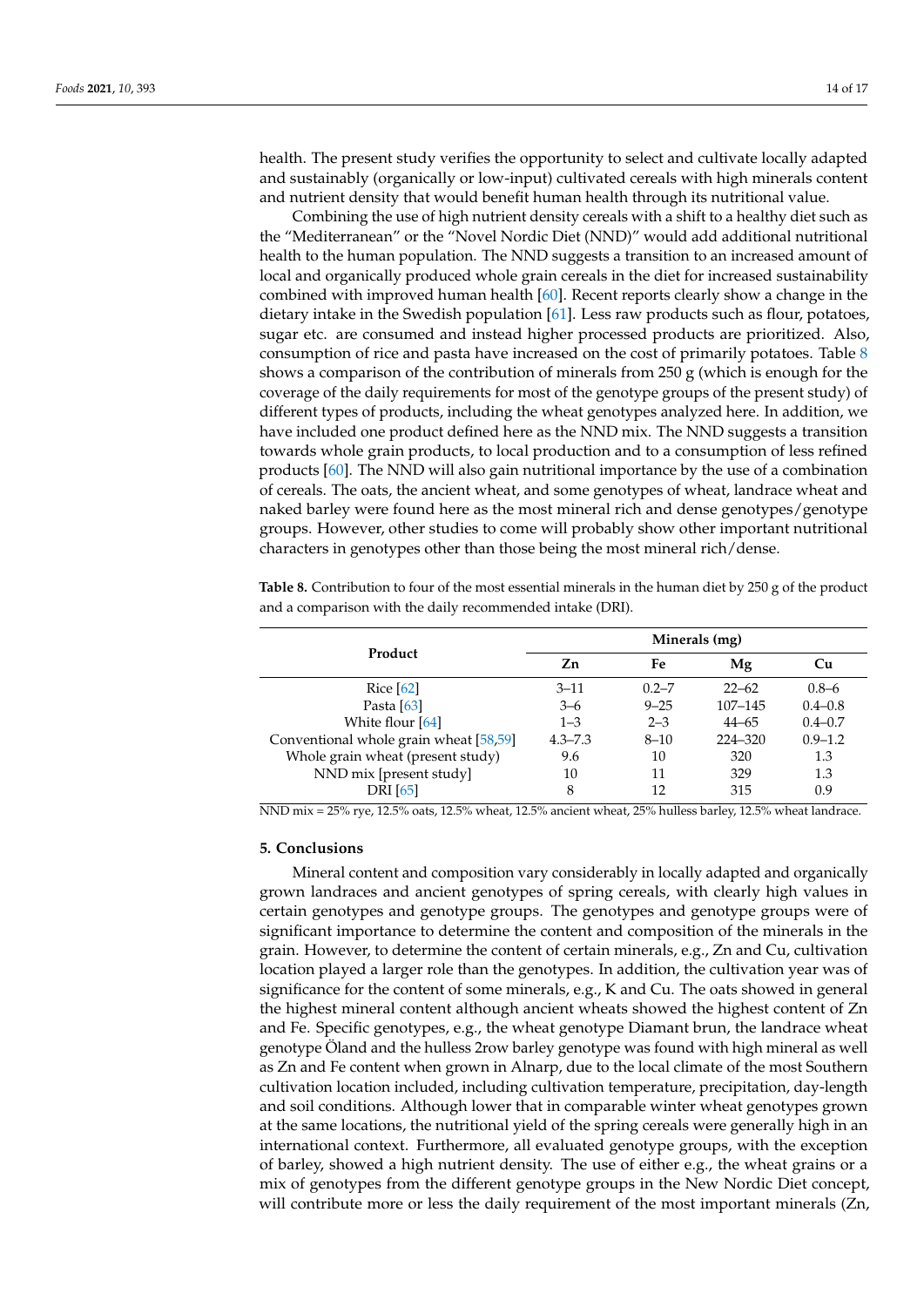health. The present study verifies the opportunity to select and cultivate locally adapted and sustainably (organically or low-input) cultivated cereals with high minerals content and nutrient density that would benefit human health through its nutritional value.

Combining the use of high nutrient density cereals with a shift to a healthy diet such as the "Mediterranean" or the "Novel Nordic Diet (NND)" would add additional nutritional health to the human population. The NND suggests a transition to an increased amount of local and organically produced whole grain cereals in the diet for increased sustainability combined with improved human health [\[60\]](#page-16-11). Recent reports clearly show a change in the dietary intake in the Swedish population [\[61\]](#page-16-12). Less raw products such as flour, potatoes, sugar etc. are consumed and instead higher processed products are prioritized. Also, consumption of rice and pasta have increased on the cost of primarily potatoes. Table [8](#page-13-0) shows a comparison of the contribution of minerals from  $250 g$  (which is enough for the coverage of the daily requirements for most of the genotype groups of the present study) of different types of products, including the wheat genotypes analyzed here. In addition, we have included one product defined here as the NND mix. The NND suggests a transition towards whole grain products, to local production and to a consumption of less refined products [\[60\]](#page-16-11). The NND will also gain nutritional importance by the use of a combination of cereals. The oats, the ancient wheat, and some genotypes of wheat, landrace wheat and naked barley were found here as the most mineral rich and dense genotypes/genotype groups. However, other studies to come will probably show other important nutritional characters in genotypes other than those being the most mineral rich/dense.

**Product Minerals (mg) Zn Fe Mg Cu** Rice [\[62\]](#page-16-13) 3–11 0.2–7 22–62 0.8–6 Pasta [\[63\]](#page-16-14) 3–6 9–25 107–145 0.4–0.8 White flour [\[64\]](#page-16-15) 1–3 2–3 44–65 0.4–0.7 Conventional whole grain wheat [\[58](#page-16-9)[,59\]](#page-16-10) 4.3–7.3 8–10 224–320 0.9–1.2 Whole grain wheat (present study)  $9.6$  10 320 1.3 NND mix [present study] 10 11 329 1.3 DRI [\[65\]](#page-16-16) 8 12 315 0.9

<span id="page-13-0"></span>**Table 8.** Contribution to four of the most essential minerals in the human diet by 250 g of the product and a comparison with the daily recommended intake (DRI).

NND mix = 25% rye, 12.5% oats, 12.5% wheat, 12.5% ancient wheat, 25% hulless barley, 12.5% wheat landrace.

#### **5. Conclusions**

Mineral content and composition vary considerably in locally adapted and organically grown landraces and ancient genotypes of spring cereals, with clearly high values in certain genotypes and genotype groups. The genotypes and genotype groups were of significant importance to determine the content and composition of the minerals in the grain. However, to determine the content of certain minerals, e.g., Zn and Cu, cultivation location played a larger role than the genotypes. In addition, the cultivation year was of significance for the content of some minerals, e.g., K and Cu. The oats showed in general the highest mineral content although ancient wheats showed the highest content of Zn and Fe. Specific genotypes, e.g., the wheat genotype Diamant brun, the landrace wheat genotype Öland and the hulless 2row barley genotype was found with high mineral as well as Zn and Fe content when grown in Alnarp, due to the local climate of the most Southern cultivation location included, including cultivation temperature, precipitation, day-length and soil conditions. Although lower that in comparable winter wheat genotypes grown at the same locations, the nutritional yield of the spring cereals were generally high in an international context. Furthermore, all evaluated genotype groups, with the exception of barley, showed a high nutrient density. The use of either e.g., the wheat grains or a mix of genotypes from the different genotype groups in the New Nordic Diet concept, will contribute more or less the daily requirement of the most important minerals (Zn,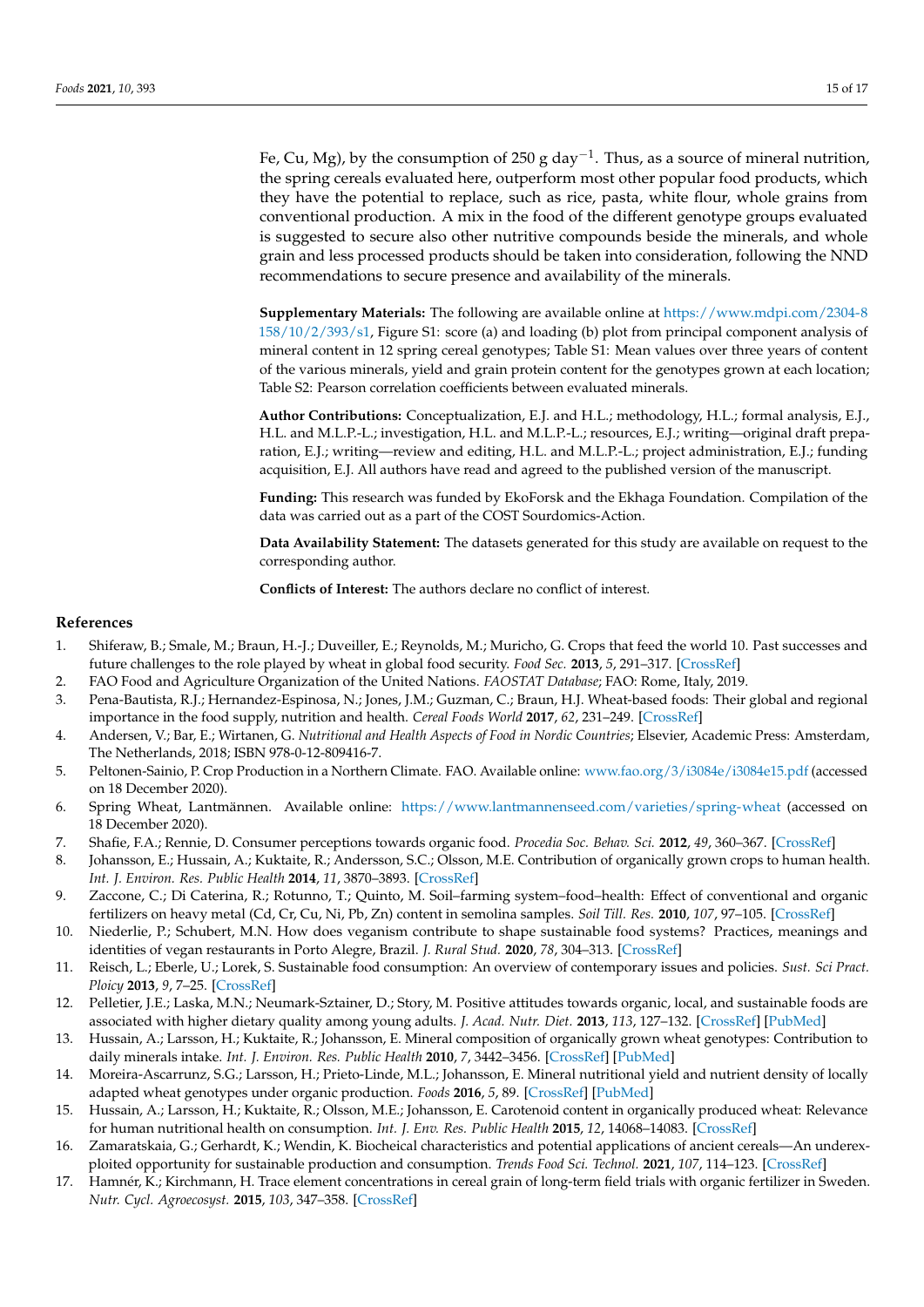Fe, Cu, Mg), by the consumption of 250 g day<sup>-1</sup>. Thus, as a source of mineral nutrition, the spring cereals evaluated here, outperform most other popular food products, which they have the potential to replace, such as rice, pasta, white flour, whole grains from conventional production. A mix in the food of the different genotype groups evaluated is suggested to secure also other nutritive compounds beside the minerals, and whole grain and less processed products should be taken into consideration, following the NND recommendations to secure presence and availability of the minerals.

**Supplementary Materials:** The following are available online at [https://www.mdpi.com/2304-8](https://www.mdpi.com/2304-8158/10/2/393/s1) [158/10/2/393/s1,](https://www.mdpi.com/2304-8158/10/2/393/s1) Figure S1: score (a) and loading (b) plot from principal component analysis of mineral content in 12 spring cereal genotypes; Table S1: Mean values over three years of content of the various minerals, yield and grain protein content for the genotypes grown at each location; Table S2: Pearson correlation coefficients between evaluated minerals.

**Author Contributions:** Conceptualization, E.J. and H.L.; methodology, H.L.; formal analysis, E.J., H.L. and M.L.P.-L.; investigation, H.L. and M.L.P.-L.; resources, E.J.; writing—original draft preparation, E.J.; writing—review and editing, H.L. and M.L.P.-L.; project administration, E.J.; funding acquisition, E.J. All authors have read and agreed to the published version of the manuscript.

**Funding:** This research was funded by EkoForsk and the Ekhaga Foundation. Compilation of the data was carried out as a part of the COST Sourdomics-Action.

**Data Availability Statement:** The datasets generated for this study are available on request to the corresponding author.

**Conflicts of Interest:** The authors declare no conflict of interest.

#### **References**

- <span id="page-14-0"></span>1. Shiferaw, B.; Smale, M.; Braun, H.-J.; Duveiller, E.; Reynolds, M.; Muricho, G. Crops that feed the world 10. Past successes and future challenges to the role played by wheat in global food security. *Food Sec.* **2013**, *5*, 291–317. [\[CrossRef\]](http://doi.org/10.1007/s12571-013-0263-y)
- 2. FAO Food and Agriculture Organization of the United Nations. *FAOSTAT Database*; FAO: Rome, Italy, 2019.
- <span id="page-14-1"></span>3. Pena-Bautista, R.J.; Hernandez-Espinosa, N.; Jones, J.M.; Guzman, C.; Braun, H.J. Wheat-based foods: Their global and regional importance in the food supply, nutrition and health. *Cereal Foods World* **2017**, *62*, 231–249. [\[CrossRef\]](http://doi.org/10.1094/CFW-62-5-0231)
- <span id="page-14-2"></span>4. Andersen, V.; Bar, E.; Wirtanen, G. *Nutritional and Health Aspects of Food in Nordic Countries*; Elsevier, Academic Press: Amsterdam, The Netherlands, 2018; ISBN 978-0-12-809416-7.
- <span id="page-14-3"></span>5. Peltonen-Sainio, P. Crop Production in a Northern Climate. FAO. Available online: <www.fao.org/3/i3084e/i3084e15.pdf> (accessed on 18 December 2020).
- <span id="page-14-4"></span>6. Spring Wheat, Lantmännen. Available online: <https://www.lantmannenseed.com/varieties/spring-wheat> (accessed on 18 December 2020).
- <span id="page-14-5"></span>7. Shafie, F.A.; Rennie, D. Consumer perceptions towards organic food. *Procedia Soc. Behav. Sci.* **2012**, *49*, 360–367. [\[CrossRef\]](http://doi.org/10.1016/j.sbspro.2012.07.034)
- <span id="page-14-7"></span>8. Johansson, E.; Hussain, A.; Kuktaite, R.; Andersson, S.C.; Olsson, M.E. Contribution of organically grown crops to human health. *Int. J. Environ. Res. Public Health* **2014**, *11*, 3870–3893. [\[CrossRef\]](http://doi.org/10.3390/ijerph110403870)
- <span id="page-14-10"></span>9. Zaccone, C.; Di Caterina, R.; Rotunno, T.; Quinto, M. Soil–farming system–food–health: Effect of conventional and organic fertilizers on heavy metal (Cd, Cr, Cu, Ni, Pb, Zn) content in semolina samples. *Soil Till. Res.* **2010**, *107*, 97–105. [\[CrossRef\]](http://doi.org/10.1016/j.still.2010.02.004)
- <span id="page-14-13"></span>10. Niederlie, P.; Schubert, M.N. How does veganism contribute to shape sustainable food systems? Practices, meanings and identities of vegan restaurants in Porto Alegre, Brazil. *J. Rural Stud.* **2020**, *78*, 304–313. [\[CrossRef\]](http://doi.org/10.1016/j.jrurstud.2020.06.021)
- 11. Reisch, L.; Eberle, U.; Lorek, S. Sustainable food consumption: An overview of contemporary issues and policies. *Sust. Sci Pract. Ploicy* **2013**, *9*, 7–25. [\[CrossRef\]](http://doi.org/10.1080/15487733.2013.11908111)
- <span id="page-14-6"></span>12. Pelletier, J.E.; Laska, M.N.; Neumark-Sztainer, D.; Story, M. Positive attitudes towards organic, local, and sustainable foods are associated with higher dietary quality among young adults. *J. Acad. Nutr. Diet.* **2013**, *113*, 127–132. [\[CrossRef\]](http://doi.org/10.1016/j.jand.2012.08.021) [\[PubMed\]](http://www.ncbi.nlm.nih.gov/pubmed/23260729)
- <span id="page-14-8"></span>13. Hussain, A.; Larsson, H.; Kuktaite, R.; Johansson, E. Mineral composition of organically grown wheat genotypes: Contribution to daily minerals intake. *Int. J. Environ. Res. Public Health* **2010**, *7*, 3442–3456. [\[CrossRef\]](http://doi.org/10.3390/ijerph7093442) [\[PubMed\]](http://www.ncbi.nlm.nih.gov/pubmed/20948934)
- <span id="page-14-11"></span>14. Moreira-Ascarrunz, S.G.; Larsson, H.; Prieto-Linde, M.L.; Johansson, E. Mineral nutritional yield and nutrient density of locally adapted wheat genotypes under organic production. *Foods* **2016**, *5*, 89. [\[CrossRef\]](http://doi.org/10.3390/foods5040089) [\[PubMed\]](http://www.ncbi.nlm.nih.gov/pubmed/28231184)
- <span id="page-14-12"></span>15. Hussain, A.; Larsson, H.; Kuktaite, R.; Olsson, M.E.; Johansson, E. Carotenoid content in organically produced wheat: Relevance for human nutritional health on consumption. *Int. J. Env. Res. Public Health* **2015**, *12*, 14068–14083. [\[CrossRef\]](http://doi.org/10.3390/ijerph121114068)
- 16. Zamaratskaia, G.; Gerhardt, K.; Wendin, K. Biocheical characteristics and potential applications of ancient cereals—An underexploited opportunity for sustainable production and consumption. *Trends Food Sci. Technol.* **2021**, *107*, 114–123. [\[CrossRef\]](http://doi.org/10.1016/j.tifs.2020.12.006)
- <span id="page-14-9"></span>17. Hamnér, K.; Kirchmann, H. Trace element concentrations in cereal grain of long-term field trials with organic fertilizer in Sweden. *Nutr. Cycl. Agroecosyst.* **2015**, *103*, 347–358. [\[CrossRef\]](http://doi.org/10.1007/s10705-015-9749-7)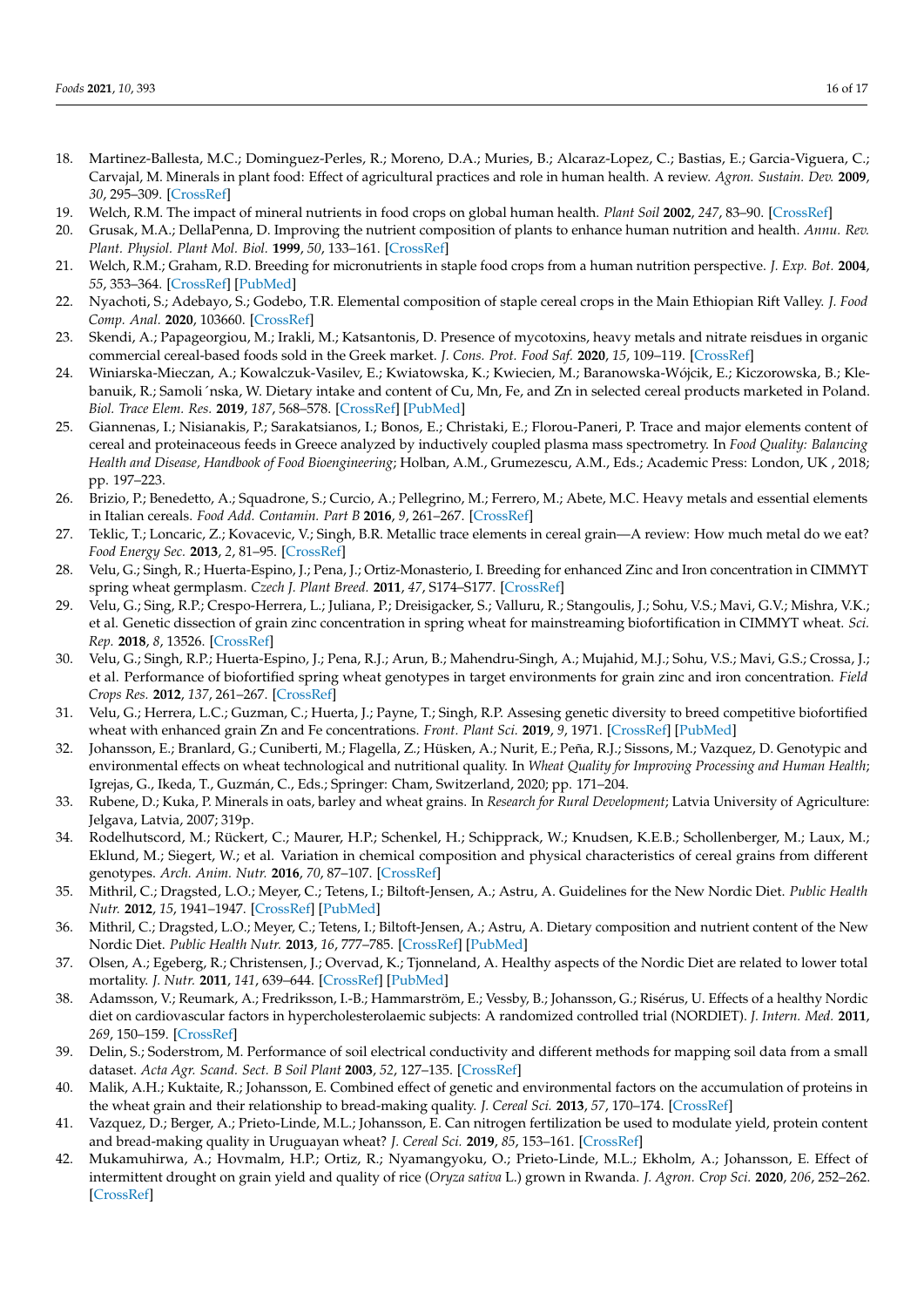- <span id="page-15-0"></span>18. Martinez-Ballesta, M.C.; Dominguez-Perles, R.; Moreno, D.A.; Muries, B.; Alcaraz-Lopez, C.; Bastias, E.; Garcia-Viguera, C.; Carvajal, M. Minerals in plant food: Effect of agricultural practices and role in human health. A review. *Agron. Sustain. Dev.* **2009**, *30*, 295–309. [\[CrossRef\]](http://doi.org/10.1051/agro/2009022)
- <span id="page-15-1"></span>19. Welch, R.M. The impact of mineral nutrients in food crops on global human health. *Plant Soil* **2002**, *247*, 83–90. [\[CrossRef\]](http://doi.org/10.1023/A:1021140122921)
- 20. Grusak, M.A.; DellaPenna, D. Improving the nutrient composition of plants to enhance human nutrition and health. *Annu. Rev. Plant. Physiol. Plant Mol. Biol.* **1999**, *50*, 133–161. [\[CrossRef\]](http://doi.org/10.1146/annurev.arplant.50.1.133)
- <span id="page-15-2"></span>21. Welch, R.M.; Graham, R.D. Breeding for micronutrients in staple food crops from a human nutrition perspective. *J. Exp. Bot.* **2004**, *55*, 353–364. [\[CrossRef\]](http://doi.org/10.1093/jxb/erh064) [\[PubMed\]](http://www.ncbi.nlm.nih.gov/pubmed/14739261)
- <span id="page-15-3"></span>22. Nyachoti, S.; Adebayo, S.; Godebo, T.R. Elemental composition of staple cereal crops in the Main Ethiopian Rift Valley. *J. Food Comp. Anal.* **2020**, 103660. [\[CrossRef\]](http://doi.org/10.1016/j.jfca.2020.103660)
- 23. Skendi, A.; Papageorgiou, M.; Irakli, M.; Katsantonis, D. Presence of mycotoxins, heavy metals and nitrate reisdues in organic commercial cereal-based foods sold in the Greek market. *J. Cons. Prot. Food Saf.* **2020**, *15*, 109–119. [\[CrossRef\]](http://doi.org/10.1007/s00003-019-01231-7)
- 24. Winiarska-Mieczan, A.; Kowalczuk-Vasilev, E.; Kwiatowska, K.; Kwiecien, M.; Baranowska-Wójcik, E.; Kiczorowska, B.; Klebanuik, R.; Samoli´nska, W. Dietary intake and content of Cu, Mn, Fe, and Zn in selected cereal products marketed in Poland. *Biol. Trace Elem. Res.* **2019**, *187*, 568–578. [\[CrossRef\]](http://doi.org/10.1007/s12011-018-1384-0) [\[PubMed\]](http://www.ncbi.nlm.nih.gov/pubmed/29777526)
- 25. Giannenas, I.; Nisianakis, P.; Sarakatsianos, I.; Bonos, E.; Christaki, E.; Florou-Paneri, P. Trace and major elements content of cereal and proteinaceous feeds in Greece analyzed by inductively coupled plasma mass spectrometry. In *Food Quality: Balancing Health and Disease, Handbook of Food Bioengineering*; Holban, A.M., Grumezescu, A.M., Eds.; Academic Press: London, UK , 2018; pp. 197–223.
- 26. Brizio, P.; Benedetto, A.; Squadrone, S.; Curcio, A.; Pellegrino, M.; Ferrero, M.; Abete, M.C. Heavy metals and essential elements in Italian cereals. *Food Add. Contamin. Part B* **2016**, *9*, 261–267. [\[CrossRef\]](http://doi.org/10.1080/19393210.2016.1209572)
- <span id="page-15-4"></span>27. Teklic, T.; Loncaric, Z.; Kovacevic, V.; Singh, B.R. Metallic trace elements in cereal grain—A review: How much metal do we eat? *Food Energy Sec.* **2013**, *2*, 81–95. [\[CrossRef\]](http://doi.org/10.1002/fes3.24)
- <span id="page-15-5"></span>28. Velu, G.; Singh, R.; Huerta-Espino, J.; Pena, J.; Ortiz-Monasterio, I. Breeding for enhanced Zinc and Iron concentration in CIMMYT spring wheat germplasm. *Czech J. Plant Breed.* **2011**, *47*, S174–S177. [\[CrossRef\]](http://doi.org/10.17221/3275-CJGPB)
- 29. Velu, G.; Sing, R.P.; Crespo-Herrera, L.; Juliana, P.; Dreisigacker, S.; Valluru, R.; Stangoulis, J.; Sohu, V.S.; Mavi, G.V.; Mishra, V.K.; et al. Genetic dissection of grain zinc concentration in spring wheat for mainstreaming biofortification in CIMMYT wheat. *Sci. Rep.* **2018**, *8*, 13526. [\[CrossRef\]](http://doi.org/10.1038/s41598-018-31951-z)
- 30. Velu, G.; Singh, R.P.; Huerta-Espino, J.; Pena, R.J.; Arun, B.; Mahendru-Singh, A.; Mujahid, M.J.; Sohu, V.S.; Mavi, G.S.; Crossa, J.; et al. Performance of biofortified spring wheat genotypes in target environments for grain zinc and iron concentration. *Field Crops Res.* **2012**, *137*, 261–267. [\[CrossRef\]](http://doi.org/10.1016/j.fcr.2012.07.018)
- <span id="page-15-6"></span>31. Velu, G.; Herrera, L.C.; Guzman, C.; Huerta, J.; Payne, T.; Singh, R.P. Assesing genetic diversity to breed competitive biofortified wheat with enhanced grain Zn and Fe concentrations. *Front. Plant Sci.* **2019**, *9*, 1971. [\[CrossRef\]](http://doi.org/10.3389/fpls.2018.01971) [\[PubMed\]](http://www.ncbi.nlm.nih.gov/pubmed/30687366)
- <span id="page-15-7"></span>32. Johansson, E.; Branlard, G.; Cuniberti, M.; Flagella, Z.; Hüsken, A.; Nurit, E.; Peña, R.J.; Sissons, M.; Vazquez, D. Genotypic and environmental effects on wheat technological and nutritional quality. In *Wheat Quality for Improving Processing and Human Health*; Igrejas, G., Ikeda, T., Guzmán, C., Eds.; Springer: Cham, Switzerland, 2020; pp. 171–204.
- <span id="page-15-8"></span>33. Rubene, D.; Kuka, P. Minerals in oats, barley and wheat grains. In *Research for Rural Development*; Latvia University of Agriculture: Jelgava, Latvia, 2007; 319p.
- <span id="page-15-9"></span>34. Rodelhutscord, M.; Rückert, C.; Maurer, H.P.; Schenkel, H.; Schipprack, W.; Knudsen, K.E.B.; Schollenberger, M.; Laux, M.; Eklund, M.; Siegert, W.; et al. Variation in chemical composition and physical characteristics of cereal grains from different genotypes. *Arch. Anim. Nutr.* **2016**, *70*, 87–107. [\[CrossRef\]](http://doi.org/10.1080/1745039X.2015.1133111)
- <span id="page-15-10"></span>35. Mithril, C.; Dragsted, L.O.; Meyer, C.; Tetens, I.; Biltoft-Jensen, A.; Astru, A. Guidelines for the New Nordic Diet. *Public Health Nutr.* **2012**, *15*, 1941–1947. [\[CrossRef\]](http://doi.org/10.1017/S136898001100351X) [\[PubMed\]](http://www.ncbi.nlm.nih.gov/pubmed/22251407)
- <span id="page-15-11"></span>36. Mithril, C.; Dragsted, L.O.; Meyer, C.; Tetens, I.; Biltoft-Jensen, A.; Astru, A. Dietary composition and nutrient content of the New Nordic Diet. *Public Health Nutr.* **2013**, *16*, 777–785. [\[CrossRef\]](http://doi.org/10.1017/S1368980012004521) [\[PubMed\]](http://www.ncbi.nlm.nih.gov/pubmed/23089239)
- <span id="page-15-12"></span>37. Olsen, A.; Egeberg, R.; Christensen, J.; Overvad, K.; Tjonneland, A. Healthy aspects of the Nordic Diet are related to lower total mortality. *J. Nutr.* **2011**, *141*, 639–644. [\[CrossRef\]](http://doi.org/10.3945/jn.110.131375) [\[PubMed\]](http://www.ncbi.nlm.nih.gov/pubmed/21346102)
- <span id="page-15-13"></span>38. Adamsson, V.; Reumark, A.; Fredriksson, I.-B.; Hammarström, E.; Vessby, B.; Johansson, G.; Risérus, U. Effects of a healthy Nordic diet on cardiovascular factors in hypercholesterolaemic subjects: A randomized controlled trial (NORDIET). *J. Intern. Med.* **2011**, *269*, 150–159. [\[CrossRef\]](http://doi.org/10.1111/j.1365-2796.2010.02290.x)
- <span id="page-15-14"></span>39. Delin, S.; Soderstrom, M. Performance of soil electrical conductivity and different methods for mapping soil data from a small dataset. *Acta Agr. Scand. Sect. B Soil Plant* **2003**, *52*, 127–135. [\[CrossRef\]](http://doi.org/10.1080/090647103100004816)
- <span id="page-15-15"></span>40. Malik, A.H.; Kuktaite, R.; Johansson, E. Combined effect of genetic and environmental factors on the accumulation of proteins in the wheat grain and their relationship to bread-making quality. *J. Cereal Sci.* **2013**, *57*, 170–174. [\[CrossRef\]](http://doi.org/10.1016/j.jcs.2012.09.017)
- <span id="page-15-17"></span>41. Vazquez, D.; Berger, A.; Prieto-Linde, M.L.; Johansson, E. Can nitrogen fertilization be used to modulate yield, protein content and bread-making quality in Uruguayan wheat? *J. Cereal Sci.* **2019**, *85*, 153–161. [\[CrossRef\]](http://doi.org/10.1016/j.jcs.2018.12.001)
- <span id="page-15-16"></span>42. Mukamuhirwa, A.; Hovmalm, H.P.; Ortiz, R.; Nyamangyoku, O.; Prieto-Linde, M.L.; Ekholm, A.; Johansson, E. Effect of intermittent drought on grain yield and quality of rice (*Oryza sativa* L.) grown in Rwanda. *J. Agron. Crop Sci.* **2020**, *206*, 252–262. [\[CrossRef\]](http://doi.org/10.1111/jac.12380)